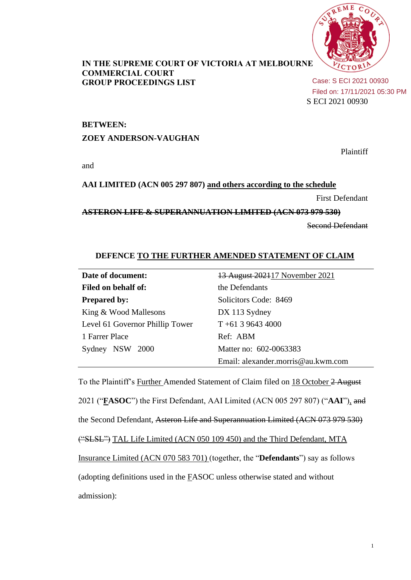

## **IN THE SUPREME COURT OF VICTORIA AT MELBOURNE COMMERCIAL COURT GROUP PROCEEDINGS LIST**

S ECI 2021 00930 Case: S ECI 2021 00930 Filed on: 17/11/2021 05:30 PM

### **BETWEEN:**

### **ZOEY ANDERSON-VAUGHAN**

Plaintiff

and

## **AAI LIMITED (ACN 005 297 807) and others according to the schedule**

First Defendant

**ASTERON LIFE & SUPERANNUATION LIMITED (ACN 073 979 530)**

Second Defendant

# **DEFENCE TO THE FURTHER AMENDED STATEMENT OF CLAIM**

| Date of document:               | 13 August 202117 November 2021     |
|---------------------------------|------------------------------------|
| Filed on behalf of:             | the Defendants                     |
| <b>Prepared by:</b>             | Solicitors Code: 8469              |
| King & Wood Mallesons           | DX 113 Sydney                      |
| Level 61 Governor Phillip Tower | $T + 61$ 3 9643 4000               |
| 1 Farrer Place                  | Ref: ABM                           |
| Sydney NSW 2000                 | Matter no: 602-0063383             |
|                                 | Email: alexander.morris@au.kwm.com |

To the Plaintiff's Further Amended Statement of Claim filed on 18 October 2 August 2021 ("**FASOC**") the First Defendant, AAI Limited (ACN 005 297 807) ("**AAI**"), and the Second Defendant, Asteron Life and Superannuation Limited (ACN 073 979 530) ("SLSL") TAL Life Limited (ACN 050 109 450) and the Third Defendant, MTA Insurance Limited (ACN 070 583 701) (together, the "**Defendants**") say as follows (adopting definitions used in the FASOC unless otherwise stated and without admission):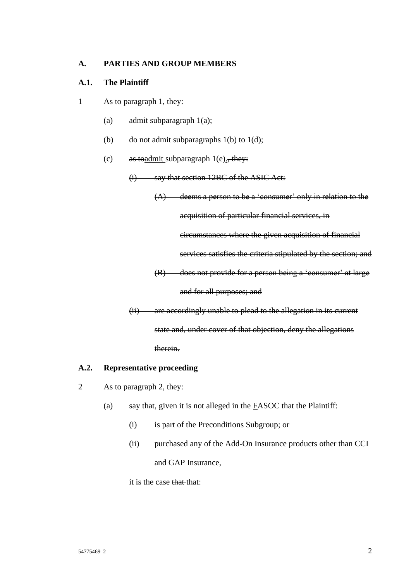## **A. PARTIES AND GROUP MEMBERS**

## **A.1. The Plaintiff**

- 1 As to paragraph 1, they:
	- (a) admit subparagraph 1(a);
	- (b) do not admit subparagraphs  $1(b)$  to  $1(d)$ ;
	- (c) as togethermit subparagraph 1(e)., they:
		- (i) say that section 12BC of the ASIC Act:

(A) deems a person to be a 'consumer' only in relation to the

acquisition of particular financial services, in

circumstances where the given acquisition of financial

services satisfies the criteria stipulated by the section; and

(B) does not provide for a person being a 'consumer' at large

# and for all purposes; and

(ii) are accordingly unable to plead to the allegation in its current state and, under cover of that objection, deny the allegations therein.

## **A.2. Representative proceeding**

- 2 As to paragraph 2, they:
	- (a) say that, given it is not alleged in the  $EASOC$  that the Plaintiff:
		- (i) is part of the Preconditions Subgroup; or
		- (ii) purchased any of the Add-On Insurance products other than CCI and GAP Insurance,

it is the case that that: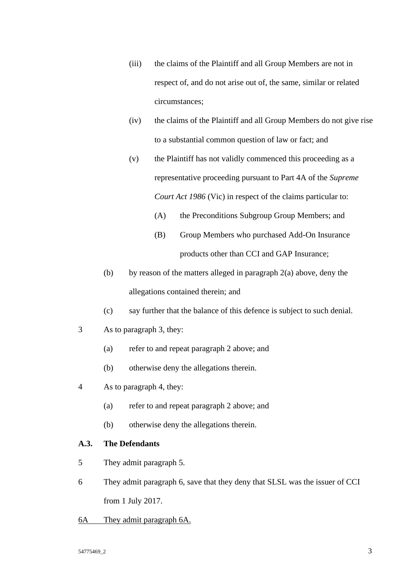- (iii) the claims of the Plaintiff and all Group Members are not in respect of, and do not arise out of, the same, similar or related circumstances;
- (iv) the claims of the Plaintiff and all Group Members do not give rise to a substantial common question of law or fact; and
- (v) the Plaintiff has not validly commenced this proceeding as a representative proceeding pursuant to Part 4A of the *Supreme Court Act 1986* (Vic) in respect of the claims particular to:
	- (A) the Preconditions Subgroup Group Members; and
	- (B) Group Members who purchased Add-On Insurance products other than CCI and GAP Insurance;
- (b) by reason of the matters alleged in paragraph  $2(a)$  above, deny the allegations contained therein; and
- (c) say further that the balance of this defence is subject to such denial.
- 3 As to paragraph 3, they:
	- (a) refer to and repeat paragraph 2 above; and
	- (b) otherwise deny the allegations therein.
- 4 As to paragraph 4, they:
	- (a) refer to and repeat paragraph 2 above; and
	- (b) otherwise deny the allegations therein.

## **A.3. The Defendants**

- 5 They admit paragraph 5.
- 6 They admit paragraph 6, save that they deny that SLSL was the issuer of CCI from 1 July 2017.
- 6A They admit paragraph 6A.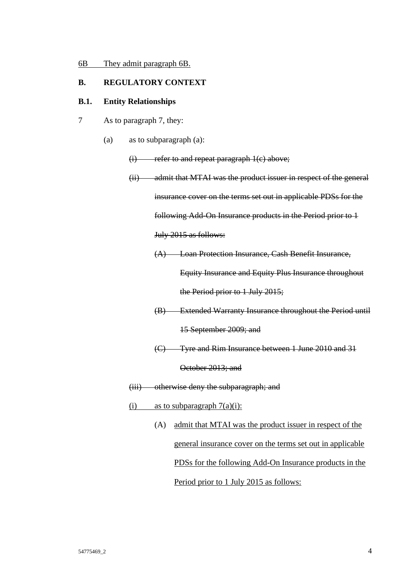## **B. REGULATORY CONTEXT**

#### **B.1. Entity Relationships**

- 7 As to paragraph 7, they:
	- (a) as to subparagraph (a):

 $(i)$  refer to and repeat paragraph  $1(c)$  above;

(ii) admit that MTAI was the product issuer in respect of the general insurance cover on the terms set out in applicable PDSs for the following Add-On Insurance products in the Period prior to 1 July 2015 as follows: (A) Loan Protection Insurance, Cash Benefit Insurance,

Equity Insurance and Equity Plus Insurance throughout

the Period prior to 1 July 2015;

- (B) Extended Warranty Insurance throughout the Period until 15 September 2009; and
- (C) Tyre and Rim Insurance between 1 June 2010 and 31

October 2013; and

- (iii) otherwise deny the subparagraph; and
- (i) as to subparagraph  $7(a)(i)$ :
	- (A) admit that MTAI was the product issuer in respect of the general insurance cover on the terms set out in applicable PDSs for the following Add-On Insurance products in the Period prior to 1 July 2015 as follows: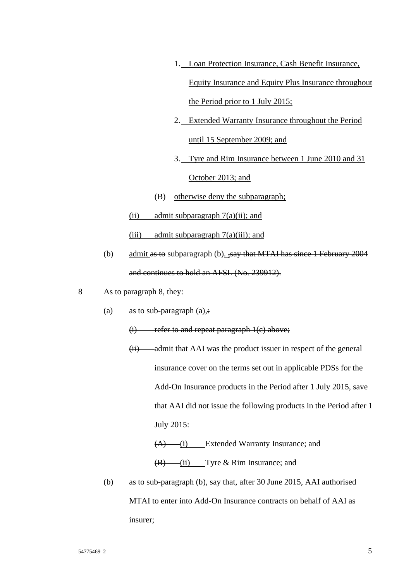- 1. Loan Protection Insurance, Cash Benefit Insurance, Equity Insurance and Equity Plus Insurance throughout the Period prior to 1 July 2015;
- 2. Extended Warranty Insurance throughout the Period until 15 September 2009; and
- 3. Tyre and Rim Insurance between 1 June 2010 and 31

## October 2013; and

- (B) otherwise deny the subparagraph;
- (ii) admit subparagraph  $7(a)(ii)$ ; and

(iii) admit subparagraph  $7(a)$ (iii); and

- (b) admit as to subparagraph (b).  $\frac{1}{2}$ say that MTAI has since 1 February 2004 and continues to hold an AFSL (No. 239912).
- 8 As to paragraph 8, they:
	- (a) as to sub-paragraph  $(a)$ ,:

## (i) refer to and repeat paragraph 1(c) above;

- $(ii)$  admit that AAI was the product issuer in respect of the general insurance cover on the terms set out in applicable PDSs for the Add-On Insurance products in the Period after 1 July 2015, save that AAI did not issue the following products in the Period after 1 July 2015:
	- $(A)$  (i) Extended Warranty Insurance; and

 $(B)$  (ii) Tyre & Rim Insurance; and

(b) as to sub-paragraph (b), say that, after 30 June 2015, AAI authorised MTAI to enter into Add-On Insurance contracts on behalf of AAI as insurer;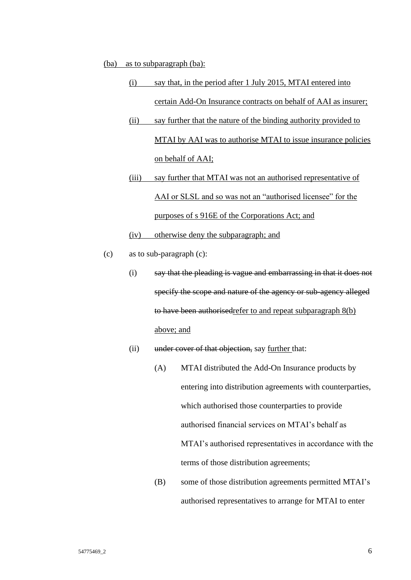#### (ba) as to subparagraph (ba):

- (i) say that, in the period after 1 July 2015, MTAI entered into certain Add-On Insurance contracts on behalf of AAI as insurer;
- (ii) say further that the nature of the binding authority provided to MTAI by AAI was to authorise MTAI to issue insurance policies on behalf of AAI;
- (iii) say further that MTAI was not an authorised representative of AAI or SLSL and so was not an "authorised licensee" for the purposes of s 916E of the Corporations Act; and

(iv) otherwise deny the subparagraph; and

- (c) as to sub-paragraph (c):
	- (i) say that the pleading is vague and embarrassing in that it does not specify the scope and nature of the agency or sub-agency alleged to have been authorisedrefer to and repeat subparagraph 8(b) above; and
	- (ii) under cover of that objection, say further that:
		- (A) MTAI distributed the Add-On Insurance products by entering into distribution agreements with counterparties, which authorised those counterparties to provide authorised financial services on MTAI's behalf as MTAI's authorised representatives in accordance with the terms of those distribution agreements;
		- (B) some of those distribution agreements permitted MTAI's authorised representatives to arrange for MTAI to enter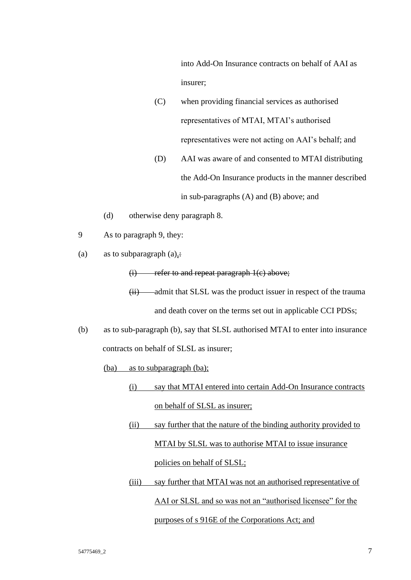into Add-On Insurance contracts on behalf of AAI as insurer;

- (C) when providing financial services as authorised representatives of MTAI, MTAI's authorised representatives were not acting on AAI's behalf; and
- (D) AAI was aware of and consented to MTAI distributing the Add-On Insurance products in the manner described in sub-paragraphs (A) and (B) above; and
- (d) otherwise deny paragraph 8.
- 9 As to paragraph 9, they:
- (a) as to subparagraph  $(a)$ ,:

(i) refer to and repeat paragraph 1(c) above;

(ii) admit that SLSL was the product issuer in respect of the trauma and death cover on the terms set out in applicable CCI PDSs;

- (b) as to sub-paragraph (b), say that SLSL authorised MTAI to enter into insurance contracts on behalf of SLSL as insurer;
	- (ba) as to subparagraph (ba);
		- (i) say that MTAI entered into certain Add-On Insurance contracts on behalf of SLSL as insurer;
		- (ii) say further that the nature of the binding authority provided to MTAI by SLSL was to authorise MTAI to issue insurance policies on behalf of SLSL;
		- (iii) say further that MTAI was not an authorised representative of AAI or SLSL and so was not an "authorised licensee" for the purposes of s 916E of the Corporations Act; and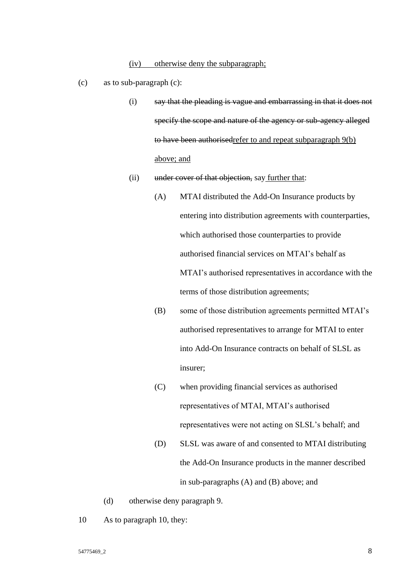- (c) as to sub-paragraph (c):
	- (i) say that the pleading is vague and embarrassing in that it does not specify the scope and nature of the agency or sub-agency alleged to have been authorisedrefer to and repeat subparagraph 9(b) above; and
	- (ii) under cover of that objection, say further that:
		- (A) MTAI distributed the Add-On Insurance products by entering into distribution agreements with counterparties, which authorised those counterparties to provide authorised financial services on MTAI's behalf as MTAI's authorised representatives in accordance with the terms of those distribution agreements;
		- (B) some of those distribution agreements permitted MTAI's authorised representatives to arrange for MTAI to enter into Add-On Insurance contracts on behalf of SLSL as insurer;
		- (C) when providing financial services as authorised representatives of MTAI, MTAI's authorised representatives were not acting on SLSL's behalf; and
		- (D) SLSL was aware of and consented to MTAI distributing the Add-On Insurance products in the manner described in sub-paragraphs (A) and (B) above; and
	- (d) otherwise deny paragraph 9.
- 10 As to paragraph 10, they: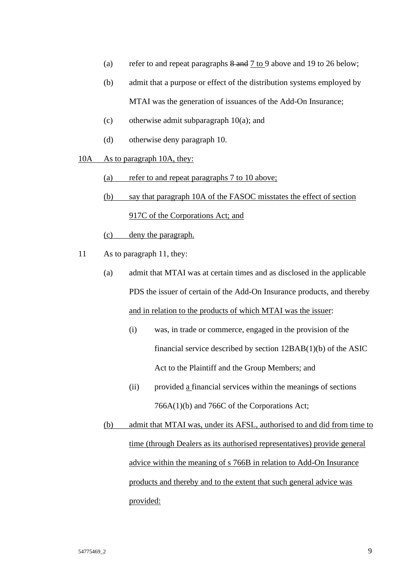- (a) refer to and repeat paragraphs  $\frac{8}{3}$  and  $\frac{7}{3}$  to 9 above and 19 to 26 below;
- (b) admit that a purpose or effect of the distribution systems employed by MTAI was the generation of issuances of the Add-On Insurance;
- (c) otherwise admit subparagraph 10(a); and
- (d) otherwise deny paragraph 10.
- 10A As to paragraph 10A, they:
	- (a) refer to and repeat paragraphs 7 to 10 above;
	- (b) say that paragraph 10A of the FASOC misstates the effect of section 917C of the Corporations Act; and
	- (c) deny the paragraph.
- 11 As to paragraph 11, they:
	- (a) admit that MTAI was at certain times and as disclosed in the applicable PDS the issuer of certain of the Add-On Insurance products, and thereby and in relation to the products of which MTAI was the issuer:
		- (i) was, in trade or commerce, engaged in the provision of the financial service described by section 12BAB(1)(b) of the ASIC Act to the Plaintiff and the Group Members; and
		- (ii) provided a financial services within the meanings of sections 766A(1)(b) and 766C of the Corporations Act;

(b) admit that MTAI was, under its AFSL, authorised to and did from time to time (through Dealers as its authorised representatives) provide general advice within the meaning of s 766B in relation to Add-On Insurance products and thereby and to the extent that such general advice was provided: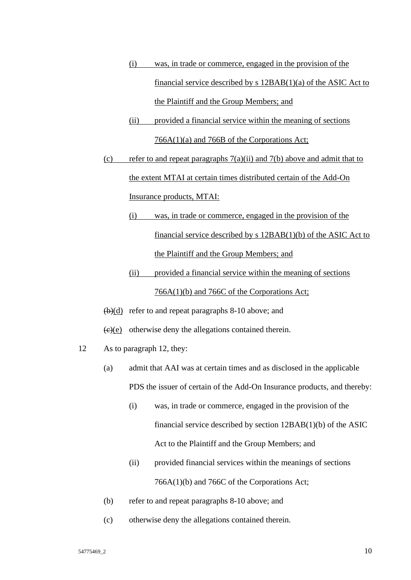- (i) was, in trade or commerce, engaged in the provision of the financial service described by s 12BAB(1)(a) of the ASIC Act to the Plaintiff and the Group Members; and
- (ii) provided a financial service within the meaning of sections 766A(1)(a) and 766B of the Corporations Act;
- (c) refer to and repeat paragraphs  $7(a)(ii)$  and  $7(b)$  above and admit that to the extent MTAI at certain times distributed certain of the Add-On Insurance products, MTAI:
	- (i) was, in trade or commerce, engaged in the provision of the financial service described by s 12BAB(1)(b) of the ASIC Act to the Plaintiff and the Group Members; and
	- (ii) provided a financial service within the meaning of sections 766A(1)(b) and 766C of the Corporations Act;
- $(b)(d)$  refer to and repeat paragraphs 8-10 above; and
- $\left(\frac{e}{e}\right)(e)$  otherwise deny the allegations contained therein.
- 12 As to paragraph 12, they:
	- (a) admit that AAI was at certain times and as disclosed in the applicable PDS the issuer of certain of the Add-On Insurance products, and thereby:
		- (i) was, in trade or commerce, engaged in the provision of the financial service described by section 12BAB(1)(b) of the ASIC Act to the Plaintiff and the Group Members; and
		- (ii) provided financial services within the meanings of sections 766A(1)(b) and 766C of the Corporations Act;
	- (b) refer to and repeat paragraphs 8-10 above; and
	- (c) otherwise deny the allegations contained therein.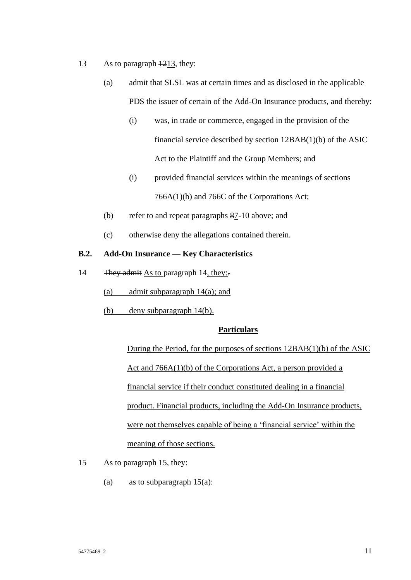- 13 As to paragraph  $\frac{1213}{121}$ , they:
	- (a) admit that SLSL was at certain times and as disclosed in the applicable PDS the issuer of certain of the Add-On Insurance products, and thereby:
		- (i) was, in trade or commerce, engaged in the provision of the financial service described by section 12BAB(1)(b) of the ASIC Act to the Plaintiff and the Group Members; and
		- (i) provided financial services within the meanings of sections 766A(1)(b) and 766C of the Corporations Act;
	- (b) refer to and repeat paragraphs 87-10 above; and
	- (c) otherwise deny the allegations contained therein.

## **B.2. Add-On Insurance — Key Characteristics**

- 14 They admit As to paragraph 14, they:-
	- (a) admit subparagraph 14(a); and
	- (b) deny subparagraph 14(b).

## **Particulars**

During the Period, for the purposes of sections 12BAB(1)(b) of the ASIC Act and 766A(1)(b) of the Corporations Act, a person provided a financial service if their conduct constituted dealing in a financial product. Financial products, including the Add-On Insurance products, were not themselves capable of being a 'financial service' within the meaning of those sections.

- 15 As to paragraph 15, they:
	- (a) as to subparagraph  $15(a)$ :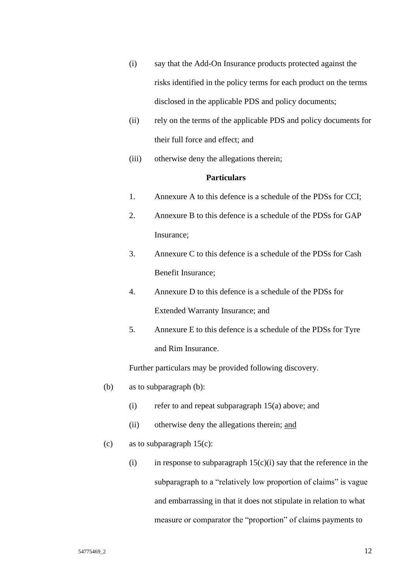- (i) say that the Add-On Insurance products protected against the risks identified in the policy terms for each product on the terms disclosed in the applicable PDS and policy documents;
- (ii) rely on the terms of the applicable PDS and policy documents for their full force and effect; and
- (iii) otherwise deny the allegations therein;

# **Particulars**

- 1. Annexure A to this defence is a schedule of the PDSs for CCI;
- 2. Annexure B to this defence is a schedule of the PDSs for GAP Insurance;
- 3. Annexure C to this defence is a schedule of the PDSs for Cash Benefit Insurance;
- 4. Annexure D to this defence is a schedule of the PDSs for Extended Warranty Insurance; and
- 5. Annexure E to this defence is a schedule of the PDSs for Tyre and Rim Insurance.

Further particulars may be provided following discovery.

- (b) as to subparagraph (b):
	- (i) refer to and repeat subparagraph 15(a) above; and
	- (ii) otherwise deny the allegations therein; and
- (c) as to subparagraph  $15(c)$ :
	- (i) in response to subparagraph  $15(c)(i)$  say that the reference in the subparagraph to a "relatively low proportion of claims" is vague and embarrassing in that it does not stipulate in relation to what measure or comparator the "proportion" of claims payments to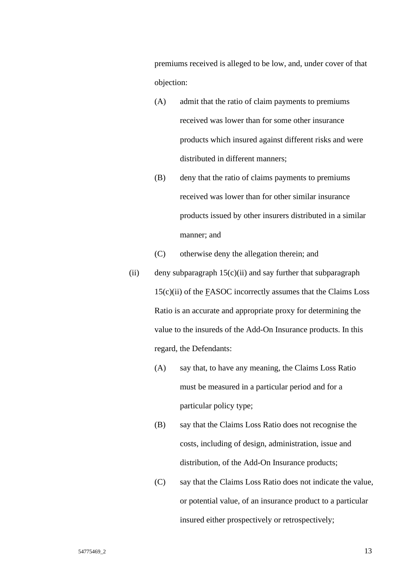premiums received is alleged to be low, and, under cover of that objection:

- (A) admit that the ratio of claim payments to premiums received was lower than for some other insurance products which insured against different risks and were distributed in different manners;
- (B) deny that the ratio of claims payments to premiums received was lower than for other similar insurance products issued by other insurers distributed in a similar manner; and
- (C) otherwise deny the allegation therein; and
- (ii) deny subparagraph  $15(c)(ii)$  and say further that subparagraph 15(c)(ii) of the FASOC incorrectly assumes that the Claims Loss Ratio is an accurate and appropriate proxy for determining the value to the insureds of the Add-On Insurance products. In this regard, the Defendants:
	- (A) say that, to have any meaning, the Claims Loss Ratio must be measured in a particular period and for a particular policy type;
	- (B) say that the Claims Loss Ratio does not recognise the costs, including of design, administration, issue and distribution, of the Add-On Insurance products;
	- (C) say that the Claims Loss Ratio does not indicate the value, or potential value, of an insurance product to a particular insured either prospectively or retrospectively;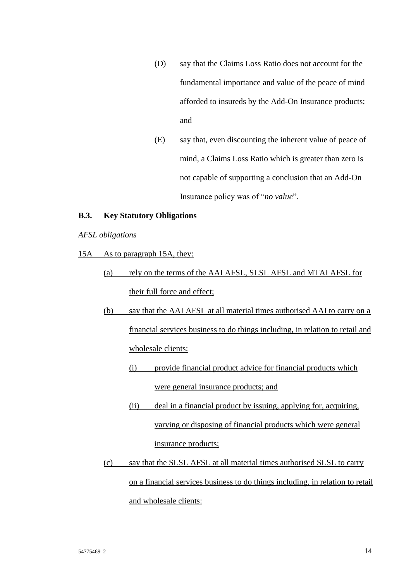- (D) say that the Claims Loss Ratio does not account for the fundamental importance and value of the peace of mind afforded to insureds by the Add-On Insurance products; and
- (E) say that, even discounting the inherent value of peace of mind, a Claims Loss Ratio which is greater than zero is not capable of supporting a conclusion that an Add-On Insurance policy was of "*no value*".

### **B.3. Key Statutory Obligations**

*AFSL obligations*

- 15A As to paragraph 15A, they:
	- (a) rely on the terms of the AAI AFSL, SLSL AFSL and MTAI AFSL for their full force and effect;
	- (b) say that the AAI AFSL at all material times authorised AAI to carry on a financial services business to do things including, in relation to retail and wholesale clients:
		- (i) provide financial product advice for financial products which were general insurance products; and
		- (ii) deal in a financial product by issuing, applying for, acquiring, varying or disposing of financial products which were general insurance products;
	- (c) say that the SLSL AFSL at all material times authorised SLSL to carry on a financial services business to do things including, in relation to retail and wholesale clients: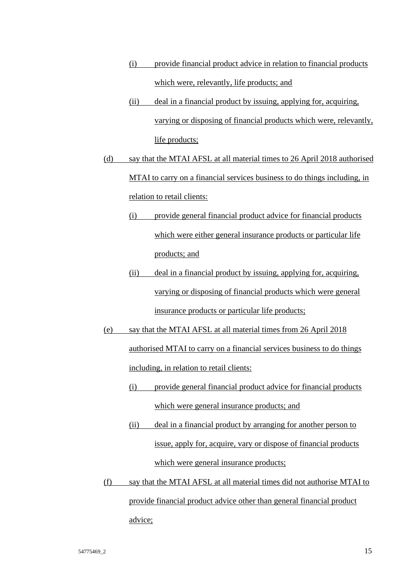- (i) provide financial product advice in relation to financial products which were, relevantly, life products; and
- (ii) deal in a financial product by issuing, applying for, acquiring, varying or disposing of financial products which were, relevantly, life products;
- (d) say that the MTAI AFSL at all material times to 26 April 2018 authorised MTAI to carry on a financial services business to do things including, in relation to retail clients:
	- (i) provide general financial product advice for financial products which were either general insurance products or particular life products; and
	- (ii) deal in a financial product by issuing, applying for, acquiring, varying or disposing of financial products which were general insurance products or particular life products;
- (e) say that the MTAI AFSL at all material times from 26 April 2018 authorised MTAI to carry on a financial services business to do things including, in relation to retail clients:
	- (i) provide general financial product advice for financial products which were general insurance products; and
	- (ii) deal in a financial product by arranging for another person to issue, apply for, acquire, vary or dispose of financial products which were general insurance products;
- (f) say that the MTAI AFSL at all material times did not authorise MTAI to provide financial product advice other than general financial product advice;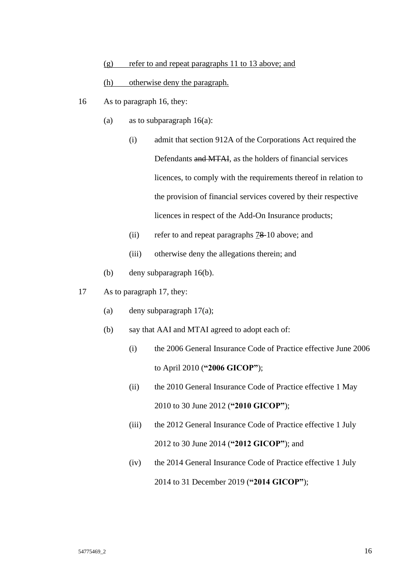(g) refer to and repeat paragraphs 11 to 13 above; and

#### (h) otherwise deny the paragraph.

- 16 As to paragraph 16, they:
	- (a) as to subparagraph  $16(a)$ :
		- (i) admit that section 912A of the Corporations Act required the Defendants and MTAI, as the holders of financial services licences, to comply with the requirements thereof in relation to the provision of financial services covered by their respective licences in respect of the Add-On Insurance products;
		- (ii) refer to and repeat paragraphs 78-10 above; and
		- (iii) otherwise deny the allegations therein; and
	- (b) deny subparagraph 16(b).
- 17 As to paragraph 17, they:
	- (a) deny subparagraph 17(a);
	- (b) say that AAI and MTAI agreed to adopt each of:
		- (i) the 2006 General Insurance Code of Practice effective June 2006 to April 2010 (**"2006 GICOP"**);
		- (ii) the 2010 General Insurance Code of Practice effective 1 May 2010 to 30 June 2012 (**"2010 GICOP"**);
		- (iii) the 2012 General Insurance Code of Practice effective 1 July 2012 to 30 June 2014 (**"2012 GICOP"**); and
		- (iv) the 2014 General Insurance Code of Practice effective 1 July 2014 to 31 December 2019 (**"2014 GICOP"**);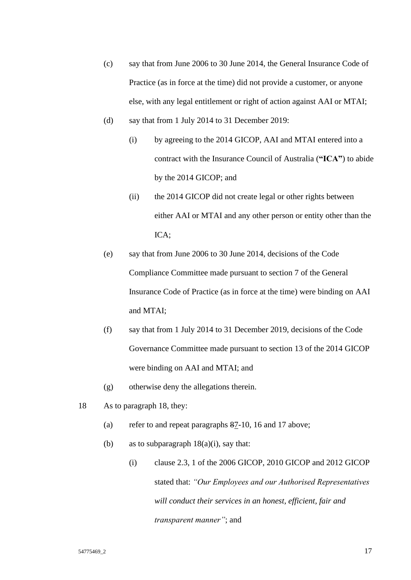- (c) say that from June 2006 to 30 June 2014, the General Insurance Code of Practice (as in force at the time) did not provide a customer, or anyone else, with any legal entitlement or right of action against AAI or MTAI;
- (d) say that from 1 July 2014 to 31 December 2019:
	- (i) by agreeing to the 2014 GICOP, AAI and MTAI entered into a contract with the Insurance Council of Australia (**"ICA"**) to abide by the 2014 GICOP; and
	- (ii) the 2014 GICOP did not create legal or other rights between either AAI or MTAI and any other person or entity other than the ICA;
- (e) say that from June 2006 to 30 June 2014, decisions of the Code Compliance Committee made pursuant to section 7 of the General Insurance Code of Practice (as in force at the time) were binding on AAI and MTAI;
- (f) say that from 1 July 2014 to 31 December 2019, decisions of the Code Governance Committee made pursuant to section 13 of the 2014 GICOP were binding on AAI and MTAI; and
- (g) otherwise deny the allegations therein.
- 18 As to paragraph 18, they:
	- (a) refer to and repeat paragraphs 87-10, 16 and 17 above;
	- (b) as to subparagraph  $18(a)(i)$ , say that:
		- (i) clause 2.3, 1 of the 2006 GICOP, 2010 GICOP and 2012 GICOP stated that: *"Our Employees and our Authorised Representatives will conduct their services in an honest, efficient, fair and transparent manner"*; and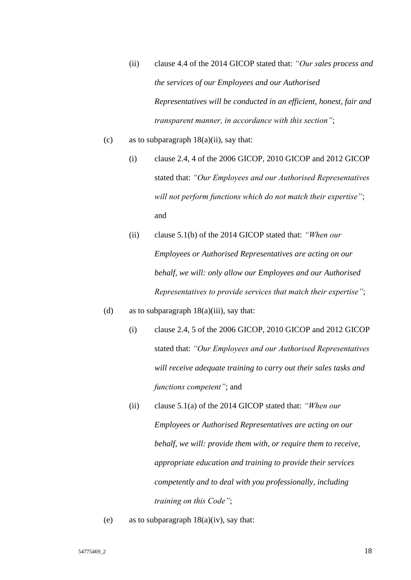- (ii) clause 4.4 of the 2014 GICOP stated that: *"Our sales process and the services of our Employees and our Authorised Representatives will be conducted in an efficient, honest, fair and transparent manner, in accordance with this section"*;
- (c) as to subparagraph  $18(a)(ii)$ , say that:
	- (i) clause 2.4, 4 of the 2006 GICOP, 2010 GICOP and 2012 GICOP stated that: *"Our Employees and our Authorised Representatives will not perform functions which do not match their expertise"*; and
	- (ii) clause 5.1(b) of the 2014 GICOP stated that: *"When our Employees or Authorised Representatives are acting on our behalf, we will: only allow our Employees and our Authorised Representatives to provide services that match their expertise"*;
- (d) as to subparagraph  $18(a)(iii)$ , say that:
	- (i) clause 2.4, 5 of the 2006 GICOP, 2010 GICOP and 2012 GICOP stated that: *"Our Employees and our Authorised Representatives will receive adequate training to carry out their sales tasks and functions competent"*; and
	- (ii) clause 5.1(a) of the 2014 GICOP stated that: *"When our Employees or Authorised Representatives are acting on our behalf, we will: provide them with, or require them to receive, appropriate education and training to provide their services competently and to deal with you professionally, including training on this Code"*;
- (e) as to subparagraph  $18(a)(iv)$ , say that: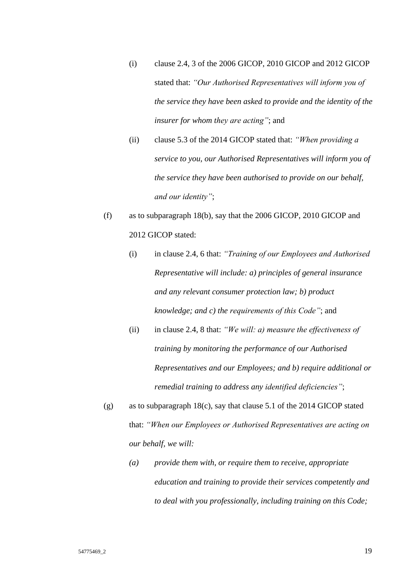- (i) clause 2.4, 3 of the 2006 GICOP, 2010 GICOP and 2012 GICOP stated that: *"Our Authorised Representatives will inform you of the service they have been asked to provide and the identity of the insurer for whom they are acting"*; and
- (ii) clause 5.3 of the 2014 GICOP stated that: *"When providing a service to you, our Authorised Representatives will inform you of the service they have been authorised to provide on our behalf, and our identity"*;
- (f) as to subparagraph 18(b), say that the 2006 GICOP, 2010 GICOP and 2012 GICOP stated:

(i) in clause 2.4, 6 that: *"Training of our Employees and Authorised Representative will include: a) principles of general insurance and any relevant consumer protection law; b) product knowledge; and c) the requirements of this Code"*; and

- (ii) in clause 2.4, 8 that: *"We will: a) measure the effectiveness of training by monitoring the performance of our Authorised Representatives and our Employees; and b) require additional or remedial training to address any identified deficiencies"*;
- (g) as to subparagraph 18(c), say that clause 5.1 of the 2014 GICOP stated that: *"When our Employees or Authorised Representatives are acting on our behalf, we will:*
	- *(a) provide them with, or require them to receive, appropriate education and training to provide their services competently and to deal with you professionally, including training on this Code;*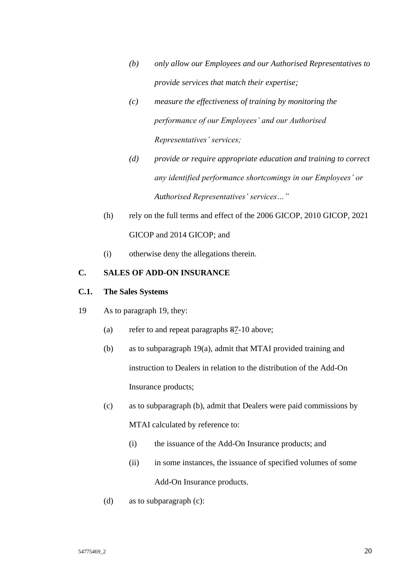- *(b) only allow our Employees and our Authorised Representatives to provide services that match their expertise;*
- *(c) measure the effectiveness of training by monitoring the performance of our Employees' and our Authorised Representatives' services;*
- *(d) provide or require appropriate education and training to correct any identified performance shortcomings in our Employees' or Authorised Representatives' services…"*
- (h) rely on the full terms and effect of the 2006 GICOP, 2010 GICOP, 2021 GICOP and 2014 GICOP; and
- (i) otherwise deny the allegations therein.

## **C. SALES OF ADD-ON INSURANCE**

## **C.1. The Sales Systems**

- 19 As to paragraph 19, they:
	- (a) refer to and repeat paragraphs 87-10 above;
	- (b) as to subparagraph 19(a), admit that MTAI provided training and instruction to Dealers in relation to the distribution of the Add-On Insurance products;
	- (c) as to subparagraph (b), admit that Dealers were paid commissions by MTAI calculated by reference to:
		- (i) the issuance of the Add-On Insurance products; and
		- (ii) in some instances, the issuance of specified volumes of some Add-On Insurance products.
	- (d) as to subparagraph (c):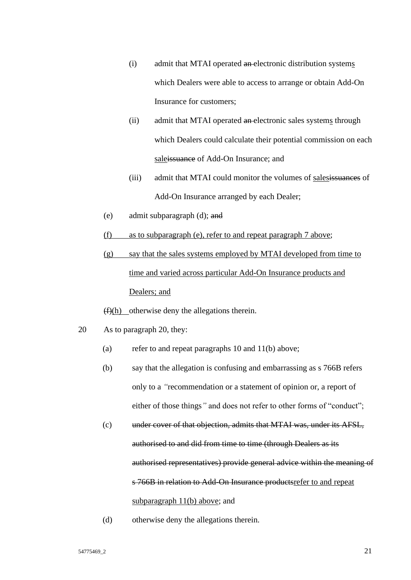- (i) admit that MTAI operated an electronic distribution systems which Dealers were able to access to arrange or obtain Add-On Insurance for customers;
- (ii) admit that MTAI operated an electronic sales systems through which Dealers could calculate their potential commission on each saleissuance of Add-On Insurance; and
- (iii) admit that MTAI could monitor the volumes of salesissuances of Add-On Insurance arranged by each Dealer;
- (e) admit subparagraph (d); and
- (f) as to subparagraph (e), refer to and repeat paragraph 7 above;
- (g) say that the sales systems employed by MTAI developed from time to time and varied across particular Add-On Insurance products and Dealers; and
- $(f)(h)$  otherwise deny the allegations therein.
- 20 As to paragraph 20, they:
	- (a) refer to and repeat paragraphs  $10$  and  $11(b)$  above;
	- (b) say that the allegation is confusing and embarrassing as s 766B refers only to a *"*recommendation or a statement of opinion or, a report of either of those things*"* and does not refer to other forms of "conduct";
	- (c) under cover of that objection, admits that MTAI was, under its AFSL, authorised to and did from time to time (through Dealers as its authorised representatives) provide general advice within the meaning of s 766B in relation to Add-On Insurance productsrefer to and repeat subparagraph 11(b) above; and
	- (d) otherwise deny the allegations therein.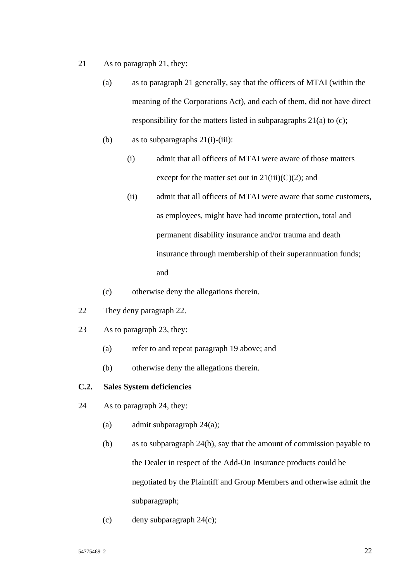- 21 As to paragraph 21, they:
	- (a) as to paragraph 21 generally, say that the officers of MTAI (within the meaning of the Corporations Act), and each of them, did not have direct responsibility for the matters listed in subparagraphs 21(a) to (c);
	- (b) as to subparagraphs  $21(i)$ -(iii):
		- (i) admit that all officers of MTAI were aware of those matters except for the matter set out in  $21(iii)(C)(2)$ ; and
		- (ii) admit that all officers of MTAI were aware that some customers, as employees, might have had income protection, total and permanent disability insurance and/or trauma and death insurance through membership of their superannuation funds; and
	- (c) otherwise deny the allegations therein.
- 22 They deny paragraph 22.
- 23 As to paragraph 23, they:
	- (a) refer to and repeat paragraph 19 above; and
	- (b) otherwise deny the allegations therein.

## **C.2. Sales System deficiencies**

- 24 As to paragraph 24, they:
	- (a) admit subparagraph 24(a);
	- (b) as to subparagraph 24(b), say that the amount of commission payable to the Dealer in respect of the Add-On Insurance products could be negotiated by the Plaintiff and Group Members and otherwise admit the subparagraph;
	- (c) deny subparagraph 24(c);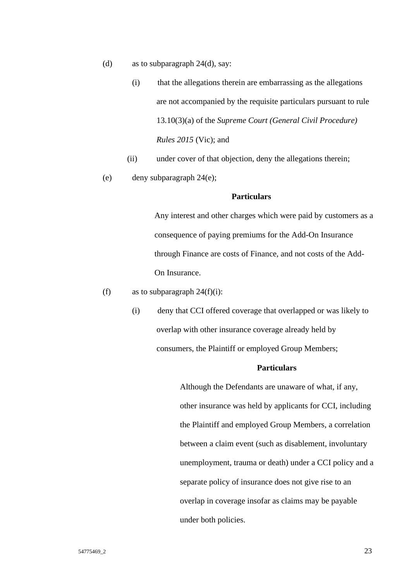- (d) as to subparagraph 24(d), say:
	- (i) that the allegations therein are embarrassing as the allegations are not accompanied by the requisite particulars pursuant to rule 13.10(3)(a) of the *Supreme Court (General Civil Procedure) Rules 2015* (Vic); and
	- (ii) under cover of that objection, deny the allegations therein;
- (e) deny subparagraph 24(e);

#### **Particulars**

Any interest and other charges which were paid by customers as a consequence of paying premiums for the Add-On Insurance through Finance are costs of Finance, and not costs of the Add-On Insurance.

- (f) as to subparagraph  $24(f)(i)$ :
	- (i) deny that CCI offered coverage that overlapped or was likely to overlap with other insurance coverage already held by consumers, the Plaintiff or employed Group Members;

### **Particulars**

Although the Defendants are unaware of what, if any, other insurance was held by applicants for CCI, including the Plaintiff and employed Group Members, a correlation between a claim event (such as disablement, involuntary unemployment, trauma or death) under a CCI policy and a separate policy of insurance does not give rise to an overlap in coverage insofar as claims may be payable under both policies.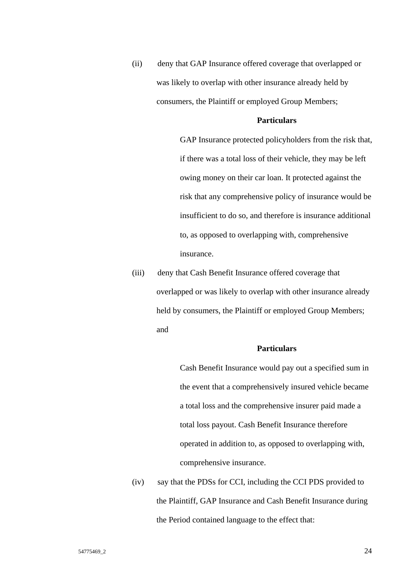(ii) deny that GAP Insurance offered coverage that overlapped or was likely to overlap with other insurance already held by consumers, the Plaintiff or employed Group Members;

#### **Particulars**

GAP Insurance protected policyholders from the risk that, if there was a total loss of their vehicle, they may be left owing money on their car loan. It protected against the risk that any comprehensive policy of insurance would be insufficient to do so, and therefore is insurance additional to, as opposed to overlapping with, comprehensive insurance.

(iii) deny that Cash Benefit Insurance offered coverage that overlapped or was likely to overlap with other insurance already held by consumers, the Plaintiff or employed Group Members; and

#### **Particulars**

Cash Benefit Insurance would pay out a specified sum in the event that a comprehensively insured vehicle became a total loss and the comprehensive insurer paid made a total loss payout. Cash Benefit Insurance therefore operated in addition to, as opposed to overlapping with, comprehensive insurance.

(iv) say that the PDSs for CCI, including the CCI PDS provided to the Plaintiff, GAP Insurance and Cash Benefit Insurance during the Period contained language to the effect that: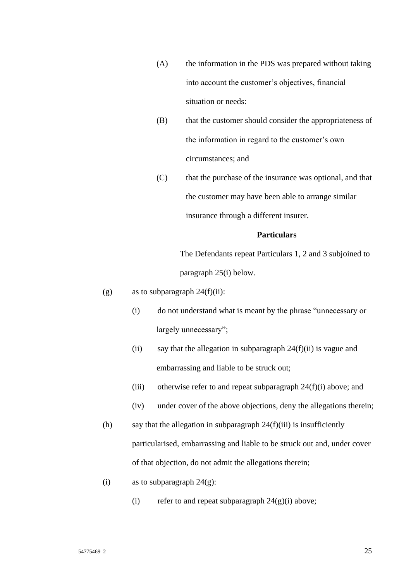- (A) the information in the PDS was prepared without taking into account the customer's objectives, financial situation or needs:
- (B) that the customer should consider the appropriateness of the information in regard to the customer's own circumstances; and
- (C) that the purchase of the insurance was optional, and that the customer may have been able to arrange similar insurance through a different insurer.

### **Particulars**

The Defendants repeat Particulars 1, 2 and 3 subjoined to paragraph 25(i) below.

- (g) as to subparagraph  $24(f)(ii)$ :
	- (i) do not understand what is meant by the phrase "unnecessary or largely unnecessary";
	- (ii) say that the allegation in subparagraph  $24(f)(ii)$  is vague and embarrassing and liable to be struck out;
	- (iii) otherwise refer to and repeat subparagraph  $24(f)(i)$  above; and
	- (iv) under cover of the above objections, deny the allegations therein;
- (h) say that the allegation in subparagraph  $24(f)(iii)$  is insufficiently particularised, embarrassing and liable to be struck out and, under cover of that objection, do not admit the allegations therein;
- (i) as to subparagraph  $24(g)$ :
	- (i) refer to and repeat subparagraph  $24(g)(i)$  above;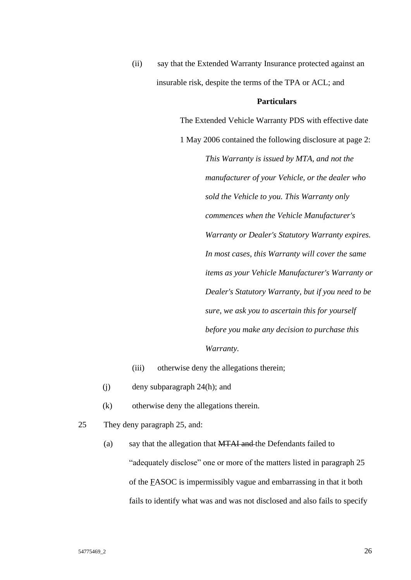(ii) say that the Extended Warranty Insurance protected against an insurable risk, despite the terms of the TPA or ACL; and

#### **Particulars**

The Extended Vehicle Warranty PDS with effective date 1 May 2006 contained the following disclosure at page 2: *This Warranty is issued by MTA, and not the manufacturer of your Vehicle, or the dealer who sold the Vehicle to you. This Warranty only commences when the Vehicle Manufacturer's Warranty or Dealer's Statutory Warranty expires. In most cases, this Warranty will cover the same items as your Vehicle Manufacturer's Warranty or Dealer's Statutory Warranty, but if you need to be sure, we ask you to ascertain this for yourself before you make any decision to purchase this Warranty.*

(iii) otherwise deny the allegations therein;

- (j) deny subparagraph 24(h); and
- (k) otherwise deny the allegations therein.
- 25 They deny paragraph 25, and:
	- (a) say that the allegation that MTAI and the Defendants failed to "adequately disclose" one or more of the matters listed in paragraph 25 of the FASOC is impermissibly vague and embarrassing in that it both fails to identify what was and was not disclosed and also fails to specify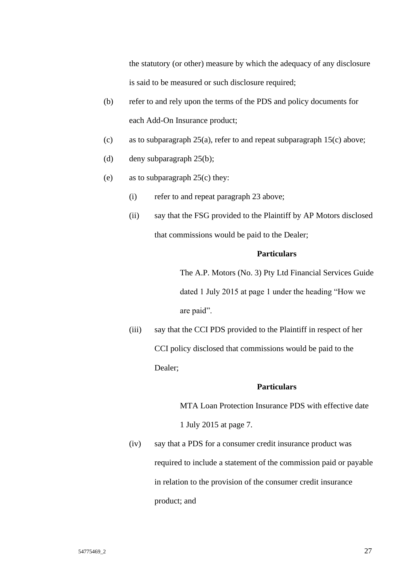the statutory (or other) measure by which the adequacy of any disclosure is said to be measured or such disclosure required;

- (b) refer to and rely upon the terms of the PDS and policy documents for each Add-On Insurance product;
- (c) as to subparagraph 25(a), refer to and repeat subparagraph 15(c) above;
- (d) deny subparagraph 25(b);
- (e) as to subparagraph 25(c) they:
	- (i) refer to and repeat paragraph 23 above;
	- (ii) say that the FSG provided to the Plaintiff by AP Motors disclosed that commissions would be paid to the Dealer;

### **Particulars**

The A.P. Motors (No. 3) Pty Ltd Financial Services Guide dated 1 July 2015 at page 1 under the heading "How we are paid".

(iii) say that the CCI PDS provided to the Plaintiff in respect of her CCI policy disclosed that commissions would be paid to the Dealer;

#### **Particulars**

MTA Loan Protection Insurance PDS with effective date

1 July 2015 at page 7.

(iv) say that a PDS for a consumer credit insurance product was required to include a statement of the commission paid or payable in relation to the provision of the consumer credit insurance product; and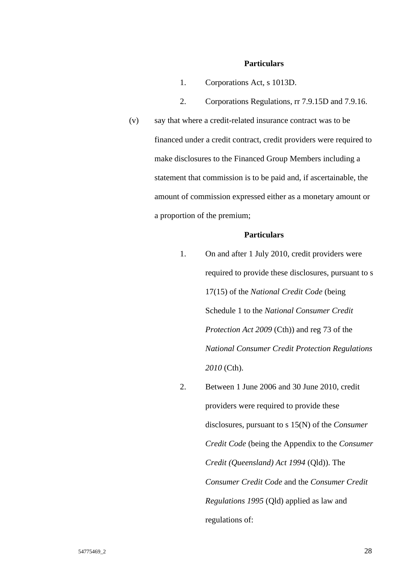#### **Particulars**

- 1. Corporations Act, s 1013D.
- 2. Corporations Regulations, rr 7.9.15D and 7.9.16.
- (v) say that where a credit-related insurance contract was to be financed under a credit contract, credit providers were required to make disclosures to the Financed Group Members including a statement that commission is to be paid and, if ascertainable, the amount of commission expressed either as a monetary amount or a proportion of the premium;

### **Particulars**

- 1. On and after 1 July 2010, credit providers were required to provide these disclosures, pursuant to s 17(15) of the *National Credit Code* (being Schedule 1 to the *National Consumer Credit Protection Act 2009* (Cth)) and reg 73 of the *National Consumer Credit Protection Regulations 2010* (Cth).
- 2. Between 1 June 2006 and 30 June 2010, credit providers were required to provide these disclosures, pursuant to s 15(N) of the *Consumer Credit Code* (being the Appendix to the *Consumer Credit (Queensland) Act 1994* (Qld)). The *Consumer Credit Code* and the *Consumer Credit Regulations 1995* (Qld) applied as law and regulations of: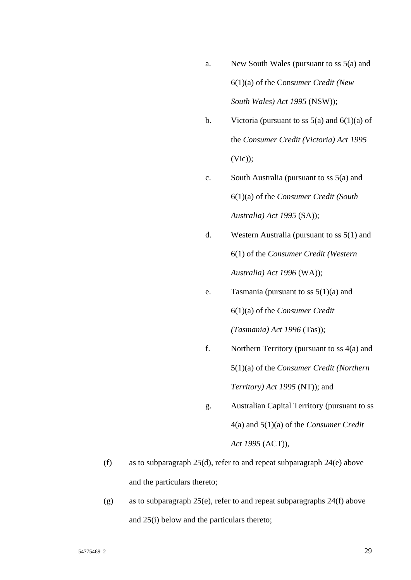- a. New South Wales (pursuant to ss 5(a) and 6(1)(a) of the Cons*umer Credit (New South Wales) Act 1995* (NSW));
- b. Victoria (pursuant to ss  $5(a)$  and  $6(1)(a)$  of the *Consumer Credit (Victoria) Act 1995*  $(Vic)$ ;
- c. South Australia (pursuant to ss 5(a) and 6(1)(a) of the *Consumer Credit (South Australia) Act 1995* (SA));
- d. Western Australia (pursuant to ss 5(1) and 6(1) of the *Consumer Credit (Western Australia) Act 1996* (WA));
- e. Tasmania (pursuant to ss  $5(1)(a)$  and 6(1)(a) of the *Consumer Credit (Tasmania) Act 1996* (Tas));
- f. Northern Territory (pursuant to ss 4(a) and 5(1)(a) of the *Consumer Credit (Northern Territory) Act 1995* (NT)); and
- g. Australian Capital Territory (pursuant to ss 4(a) and 5(1)(a) of the *Consumer Credit Act 1995* (ACT)),
- (f) as to subparagraph 25(d), refer to and repeat subparagraph 24(e) above and the particulars thereto;
- (g) as to subparagraph  $25(e)$ , refer to and repeat subparagraphs  $24(f)$  above and 25(i) below and the particulars thereto;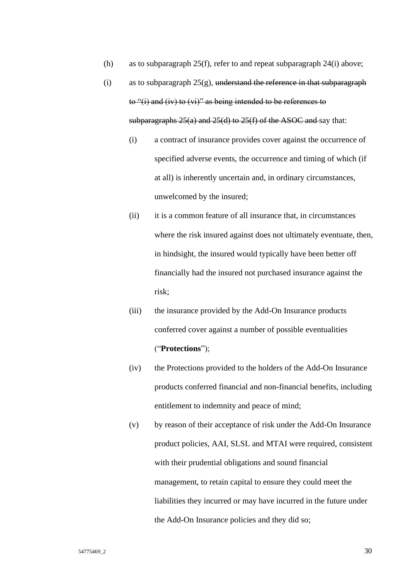- (h) as to subparagraph 25(f), refer to and repeat subparagraph 24(i) above;
- (i) as to subparagraph  $25(g)$ , understand the reference in that subparagraph to "(i) and (iv) to (vi)" as being intended to be references to subparagraphs  $25(a)$  and  $25(d)$  to  $25(f)$  of the ASOC and say that:
	- (i) a contract of insurance provides cover against the occurrence of specified adverse events, the occurrence and timing of which (if at all) is inherently uncertain and, in ordinary circumstances, unwelcomed by the insured;
	- (ii) it is a common feature of all insurance that, in circumstances where the risk insured against does not ultimately eventuate, then, in hindsight, the insured would typically have been better off financially had the insured not purchased insurance against the risk;
	- (iii) the insurance provided by the Add-On Insurance products conferred cover against a number of possible eventualities ("**Protections**");
	- (iv) the Protections provided to the holders of the Add-On Insurance products conferred financial and non-financial benefits, including entitlement to indemnity and peace of mind;
	- (v) by reason of their acceptance of risk under the Add-On Insurance product policies, AAI, SLSL and MTAI were required, consistent with their prudential obligations and sound financial management, to retain capital to ensure they could meet the liabilities they incurred or may have incurred in the future under the Add-On Insurance policies and they did so;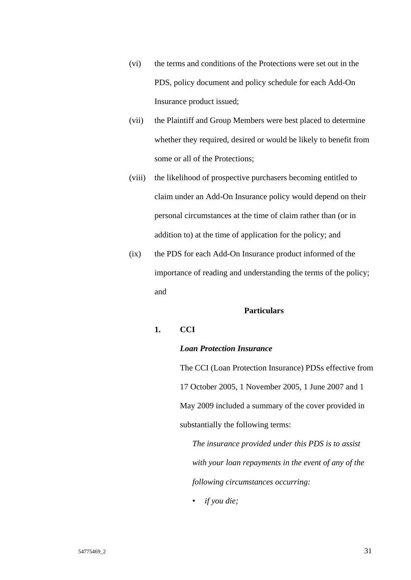- (vi) the terms and conditions of the Protections were set out in the PDS, policy document and policy schedule for each Add-On Insurance product issued;
- (vii) the Plaintiff and Group Members were best placed to determine whether they required, desired or would be likely to benefit from some or all of the Protections;
- (viii) the likelihood of prospective purchasers becoming entitled to claim under an Add-On Insurance policy would depend on their personal circumstances at the time of claim rather than (or in addition to) at the time of application for the policy; and
- (ix) the PDS for each Add-On Insurance product informed of the importance of reading and understanding the terms of the policy; and

### **Particulars**

# **1. CCI**

## *Loan Protection Insurance*

The CCI (Loan Protection Insurance) PDSs effective from 17 October 2005, 1 November 2005, 1 June 2007 and 1 May 2009 included a summary of the cover provided in substantially the following terms:

*The insurance provided under this PDS is to assist with your loan repayments in the event of any of the following circumstances occurring:*

• *if you die;*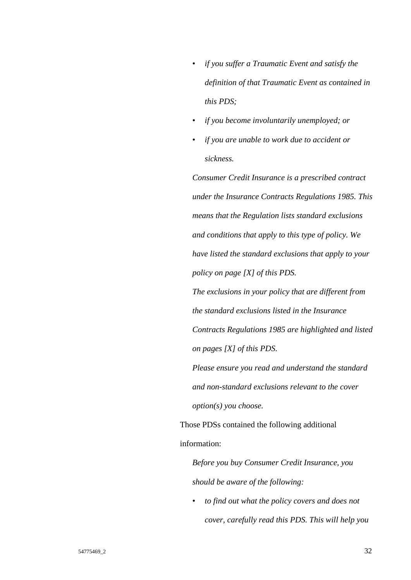- *if you suffer a Traumatic Event and satisfy the definition of that Traumatic Event as contained in this PDS;*
- *if you become involuntarily unemployed; or*
- *if you are unable to work due to accident or sickness.*

*Consumer Credit Insurance is a prescribed contract under the Insurance Contracts Regulations 1985. This means that the Regulation lists standard exclusions and conditions that apply to this type of policy. We have listed the standard exclusions that apply to your policy on page [X] of this PDS.* 

*The exclusions in your policy that are different from the standard exclusions listed in the Insurance Contracts Regulations 1985 are highlighted and listed on pages [X] of this PDS.* 

*Please ensure you read and understand the standard and non-standard exclusions relevant to the cover option(s) you choose.*

Those PDSs contained the following additional information:

*Before you buy Consumer Credit Insurance, you should be aware of the following:* 

• *to find out what the policy covers and does not cover, carefully read this PDS. This will help you*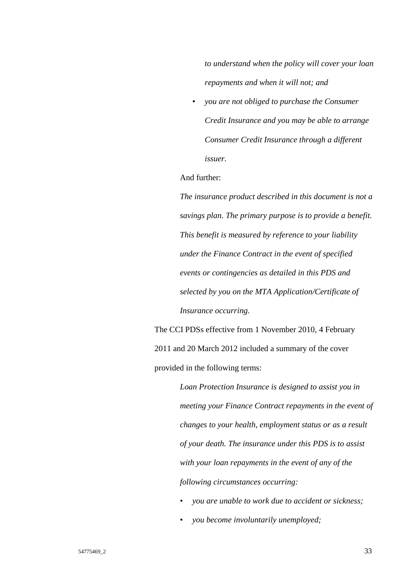*to understand when the policy will cover your loan repayments and when it will not; and* 

• *you are not obliged to purchase the Consumer Credit Insurance and you may be able to arrange Consumer Credit Insurance through a different issuer.*

## And further:

*The insurance product described in this document is not a savings plan. The primary purpose is to provide a benefit. This benefit is measured by reference to your liability under the Finance Contract in the event of specified events or contingencies as detailed in this PDS and selected by you on the MTA Application/Certificate of Insurance occurring.*

The CCI PDSs effective from 1 November 2010, 4 February 2011 and 20 March 2012 included a summary of the cover provided in the following terms:

> *Loan Protection Insurance is designed to assist you in meeting your Finance Contract repayments in the event of changes to your health, employment status or as a result of your death. The insurance under this PDS is to assist with your loan repayments in the event of any of the following circumstances occurring:*

- *you are unable to work due to accident or sickness;*
- *you become involuntarily unemployed;*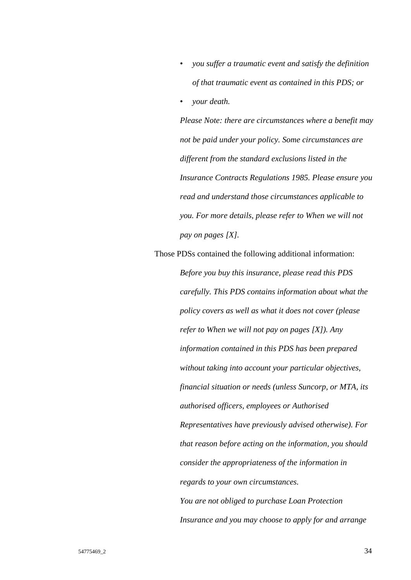- *you suffer a traumatic event and satisfy the definition of that traumatic event as contained in this PDS; or*
- *your death.*

*Please Note: there are circumstances where a benefit may not be paid under your policy. Some circumstances are different from the standard exclusions listed in the Insurance Contracts Regulations 1985. Please ensure you read and understand those circumstances applicable to you. For more details, please refer to When we will not pay on pages [X].*

Those PDSs contained the following additional information: *Before you buy this insurance, please read this PDS carefully. This PDS contains information about what the policy covers as well as what it does not cover (please refer to When we will not pay on pages [X]). Any information contained in this PDS has been prepared without taking into account your particular objectives, financial situation or needs (unless Suncorp, or MTA, its authorised officers, employees or Authorised Representatives have previously advised otherwise). For that reason before acting on the information, you should consider the appropriateness of the information in regards to your own circumstances. You are not obliged to purchase Loan Protection Insurance and you may choose to apply for and arrange*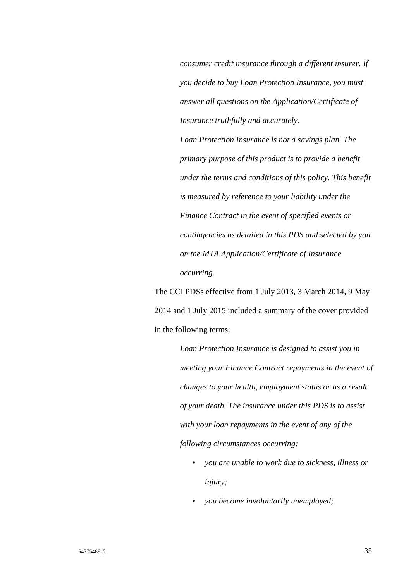*consumer credit insurance through a different insurer. If you decide to buy Loan Protection Insurance, you must answer all questions on the Application/Certificate of Insurance truthfully and accurately.* 

*Loan Protection Insurance is not a savings plan. The primary purpose of this product is to provide a benefit under the terms and conditions of this policy. This benefit is measured by reference to your liability under the Finance Contract in the event of specified events or contingencies as detailed in this PDS and selected by you on the MTA Application/Certificate of Insurance occurring.*

The CCI PDSs effective from 1 July 2013, 3 March 2014, 9 May 2014 and 1 July 2015 included a summary of the cover provided in the following terms:

> *Loan Protection Insurance is designed to assist you in meeting your Finance Contract repayments in the event of changes to your health, employment status or as a result of your death. The insurance under this PDS is to assist with your loan repayments in the event of any of the following circumstances occurring:*

- *you are unable to work due to sickness, illness or injury;*
- *you become involuntarily unemployed;*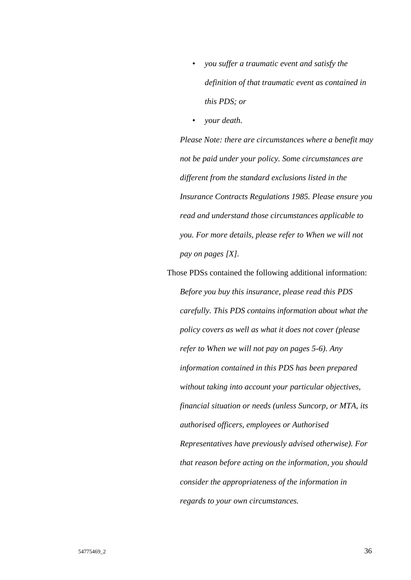- *you suffer a traumatic event and satisfy the definition of that traumatic event as contained in this PDS; or*
- *your death.*

*Please Note: there are circumstances where a benefit may not be paid under your policy. Some circumstances are different from the standard exclusions listed in the Insurance Contracts Regulations 1985. Please ensure you read and understand those circumstances applicable to you. For more details, please refer to When we will not pay on pages [X].*

Those PDSs contained the following additional information: *Before you buy this insurance, please read this PDS carefully. This PDS contains information about what the policy covers as well as what it does not cover (please refer to When we will not pay on pages 5-6). Any information contained in this PDS has been prepared without taking into account your particular objectives, financial situation or needs (unless Suncorp, or MTA, its authorised officers, employees or Authorised Representatives have previously advised otherwise). For that reason before acting on the information, you should consider the appropriateness of the information in regards to your own circumstances.*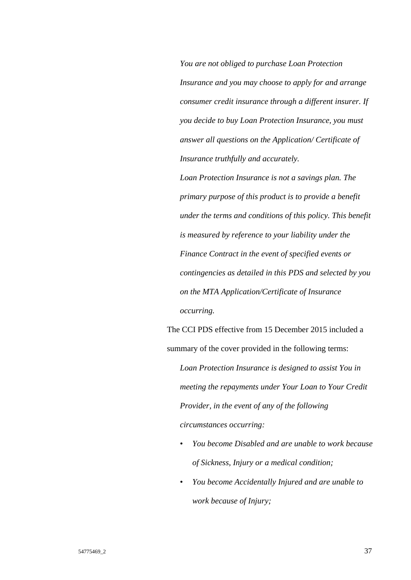*You are not obliged to purchase Loan Protection Insurance and you may choose to apply for and arrange consumer credit insurance through a different insurer. If you decide to buy Loan Protection Insurance, you must answer all questions on the Application/ Certificate of Insurance truthfully and accurately.* 

*Loan Protection Insurance is not a savings plan. The primary purpose of this product is to provide a benefit under the terms and conditions of this policy. This benefit is measured by reference to your liability under the Finance Contract in the event of specified events or contingencies as detailed in this PDS and selected by you on the MTA Application/Certificate of Insurance occurring.*

The CCI PDS effective from 15 December 2015 included a summary of the cover provided in the following terms: *Loan Protection Insurance is designed to assist You in meeting the repayments under Your Loan to Your Credit Provider, in the event of any of the following* 

*circumstances occurring:* 

- *You become Disabled and are unable to work because of Sickness, Injury or a medical condition;*
- *You become Accidentally Injured and are unable to work because of Injury;*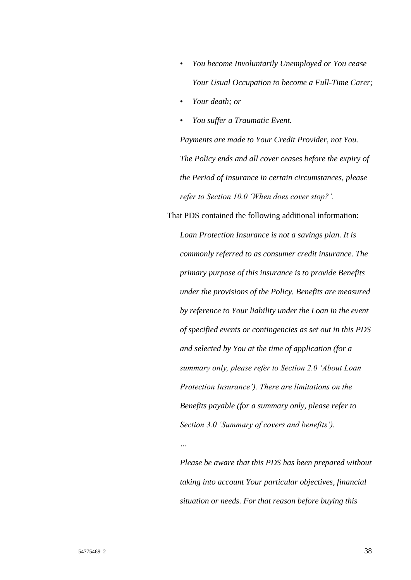- *You become Involuntarily Unemployed or You cease Your Usual Occupation to become a Full-Time Carer;*
- *Your death; or*

*…*

• *You suffer a Traumatic Event.* 

*Payments are made to Your Credit Provider, not You. The Policy ends and all cover ceases before the expiry of the Period of Insurance in certain circumstances, please refer to Section 10.0 'When does cover stop?'.*

That PDS contained the following additional information: *Loan Protection Insurance is not a savings plan. It is commonly referred to as consumer credit insurance. The primary purpose of this insurance is to provide Benefits under the provisions of the Policy. Benefits are measured by reference to Your liability under the Loan in the event of specified events or contingencies as set out in this PDS and selected by You at the time of application (for a summary only, please refer to Section 2.0 'About Loan Protection Insurance'). There are limitations on the Benefits payable (for a summary only, please refer to Section 3.0 'Summary of covers and benefits').*

*Please be aware that this PDS has been prepared without taking into account Your particular objectives, financial situation or needs. For that reason before buying this*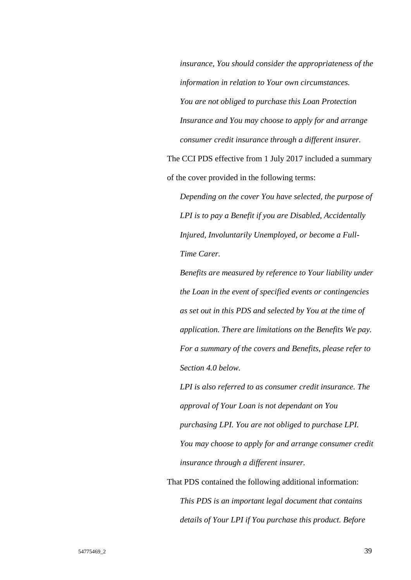*insurance, You should consider the appropriateness of the information in relation to Your own circumstances. You are not obliged to purchase this Loan Protection Insurance and You may choose to apply for and arrange consumer credit insurance through a different insurer.* The CCI PDS effective from 1 July 2017 included a summary of the cover provided in the following terms:

*Depending on the cover You have selected, the purpose of LPI is to pay a Benefit if you are Disabled, Accidentally Injured, Involuntarily Unemployed, or become a Full-Time Carer.*

*Benefits are measured by reference to Your liability under the Loan in the event of specified events or contingencies as set out in this PDS and selected by You at the time of application. There are limitations on the Benefits We pay. For a summary of the covers and Benefits, please refer to Section 4.0 below.* 

*LPI is also referred to as consumer credit insurance. The approval of Your Loan is not dependant on You purchasing LPI. You are not obliged to purchase LPI. You may choose to apply for and arrange consumer credit insurance through a different insurer.*

That PDS contained the following additional information: *This PDS is an important legal document that contains details of Your LPI if You purchase this product. Before*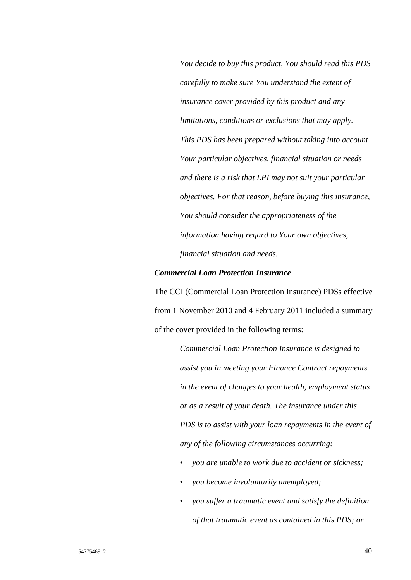*You decide to buy this product, You should read this PDS carefully to make sure You understand the extent of insurance cover provided by this product and any limitations, conditions or exclusions that may apply. This PDS has been prepared without taking into account Your particular objectives, financial situation or needs and there is a risk that LPI may not suit your particular objectives. For that reason, before buying this insurance, You should consider the appropriateness of the information having regard to Your own objectives, financial situation and needs.*

#### *Commercial Loan Protection Insurance*

The CCI (Commercial Loan Protection Insurance) PDSs effective from 1 November 2010 and 4 February 2011 included a summary of the cover provided in the following terms:

> *Commercial Loan Protection Insurance is designed to assist you in meeting your Finance Contract repayments in the event of changes to your health, employment status or as a result of your death. The insurance under this PDS is to assist with your loan repayments in the event of any of the following circumstances occurring:*

- *you are unable to work due to accident or sickness;*
- *you become involuntarily unemployed;*
- *you suffer a traumatic event and satisfy the definition of that traumatic event as contained in this PDS; or*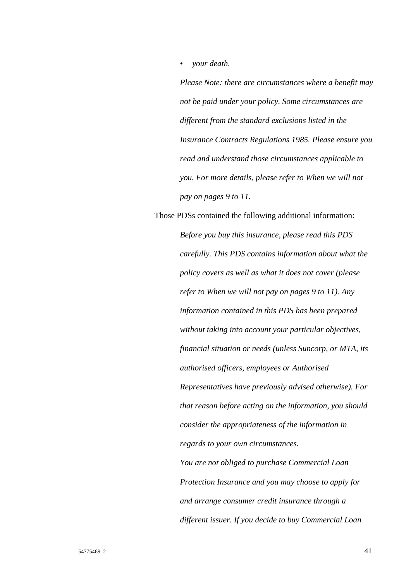• *your death.* 

*Please Note: there are circumstances where a benefit may not be paid under your policy. Some circumstances are different from the standard exclusions listed in the Insurance Contracts Regulations 1985. Please ensure you read and understand those circumstances applicable to you. For more details, please refer to When we will not pay on pages 9 to 11.*

Those PDSs contained the following additional information: *Before you buy this insurance, please read this PDS carefully. This PDS contains information about what the policy covers as well as what it does not cover (please refer to When we will not pay on pages 9 to 11). Any information contained in this PDS has been prepared without taking into account your particular objectives, financial situation or needs (unless Suncorp, or MTA, its authorised officers, employees or Authorised Representatives have previously advised otherwise). For that reason before acting on the information, you should consider the appropriateness of the information in regards to your own circumstances. You are not obliged to purchase Commercial Loan Protection Insurance and you may choose to apply for and arrange consumer credit insurance through a* 

*different issuer. If you decide to buy Commercial Loan*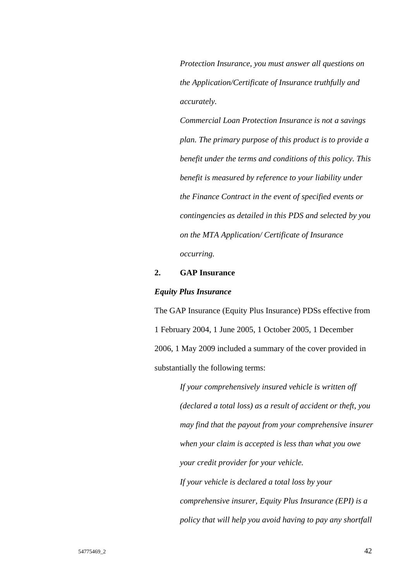*Protection Insurance, you must answer all questions on the Application/Certificate of Insurance truthfully and accurately.* 

*Commercial Loan Protection Insurance is not a savings plan. The primary purpose of this product is to provide a benefit under the terms and conditions of this policy. This benefit is measured by reference to your liability under the Finance Contract in the event of specified events or contingencies as detailed in this PDS and selected by you on the MTA Application/ Certificate of Insurance occurring.*

## **2. GAP Insurance**

#### *Equity Plus Insurance*

The GAP Insurance (Equity Plus Insurance) PDSs effective from 1 February 2004, 1 June 2005, 1 October 2005, 1 December 2006, 1 May 2009 included a summary of the cover provided in substantially the following terms:

> *If your comprehensively insured vehicle is written off (declared a total loss) as a result of accident or theft, you may find that the payout from your comprehensive insurer when your claim is accepted is less than what you owe your credit provider for your vehicle. If your vehicle is declared a total loss by your comprehensive insurer, Equity Plus Insurance (EPI) is a policy that will help you avoid having to pay any shortfall*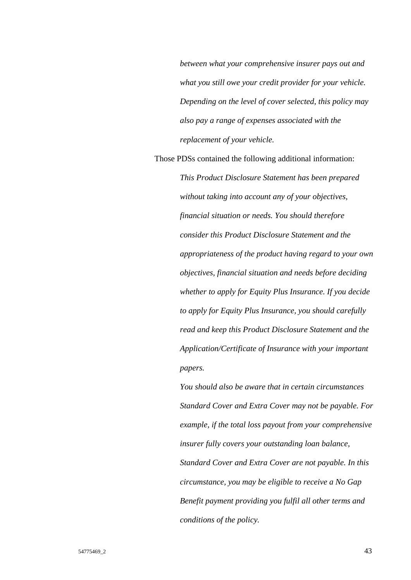*between what your comprehensive insurer pays out and what you still owe your credit provider for your vehicle. Depending on the level of cover selected, this policy may also pay a range of expenses associated with the replacement of your vehicle.*

Those PDSs contained the following additional information:

*This Product Disclosure Statement has been prepared without taking into account any of your objectives, financial situation or needs. You should therefore consider this Product Disclosure Statement and the appropriateness of the product having regard to your own objectives, financial situation and needs before deciding whether to apply for Equity Plus Insurance. If you decide to apply for Equity Plus Insurance, you should carefully read and keep this Product Disclosure Statement and the Application/Certificate of Insurance with your important papers.* 

*You should also be aware that in certain circumstances Standard Cover and Extra Cover may not be payable. For example, if the total loss payout from your comprehensive insurer fully covers your outstanding loan balance, Standard Cover and Extra Cover are not payable. In this circumstance, you may be eligible to receive a No Gap Benefit payment providing you fulfil all other terms and conditions of the policy.*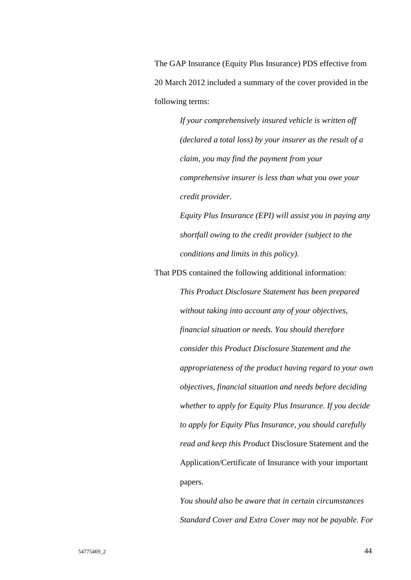The GAP Insurance (Equity Plus Insurance) PDS effective from 20 March 2012 included a summary of the cover provided in the following terms:

> *If your comprehensively insured vehicle is written off (declared a total loss) by your insurer as the result of a claim, you may find the payment from your comprehensive insurer is less than what you owe your credit provider.*

*Equity Plus Insurance (EPI) will assist you in paying any shortfall owing to the credit provider (subject to the conditions and limits in this policy).*

That PDS contained the following additional information:

*This Product Disclosure Statement has been prepared without taking into account any of your objectives, financial situation or needs. You should therefore consider this Product Disclosure Statement and the appropriateness of the product having regard to your own objectives, financial situation and needs before deciding whether to apply for Equity Plus Insurance. If you decide to apply for Equity Plus Insurance, you should carefully read and keep this Product* Disclosure Statement and the Application/Certificate of Insurance with your important papers.

*You should also be aware that in certain circumstances Standard Cover and Extra Cover may not be payable. For*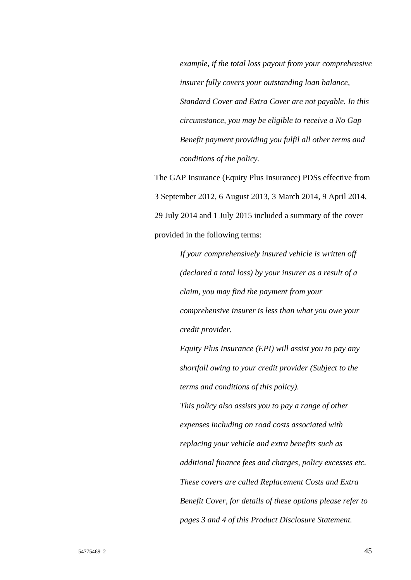*example, if the total loss payout from your comprehensive insurer fully covers your outstanding loan balance, Standard Cover and Extra Cover are not payable. In this circumstance, you may be eligible to receive a No Gap Benefit payment providing you fulfil all other terms and conditions of the policy.*

The GAP Insurance (Equity Plus Insurance) PDSs effective from 3 September 2012, 6 August 2013, 3 March 2014, 9 April 2014, 29 July 2014 and 1 July 2015 included a summary of the cover provided in the following terms:

> *If your comprehensively insured vehicle is written off (declared a total loss) by your insurer as a result of a claim, you may find the payment from your comprehensive insurer is less than what you owe your credit provider.*

> *Equity Plus Insurance (EPI) will assist you to pay any shortfall owing to your credit provider (Subject to the terms and conditions of this policy). This policy also assists you to pay a range of other expenses including on road costs associated with*

*replacing your vehicle and extra benefits such as* 

*additional finance fees and charges, policy excesses etc. These covers are called Replacement Costs and Extra Benefit Cover, for details of these options please refer to pages 3 and 4 of this Product Disclosure Statement.*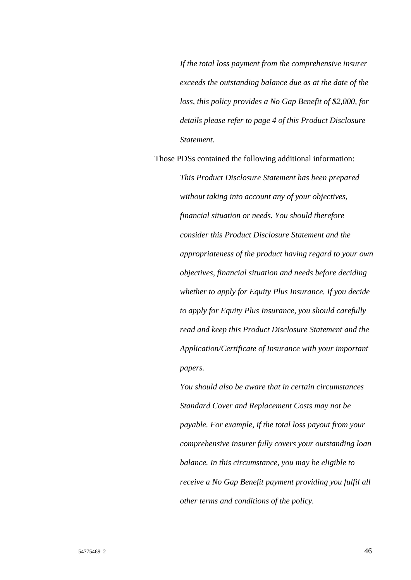*If the total loss payment from the comprehensive insurer exceeds the outstanding balance due as at the date of the loss, this policy provides a No Gap Benefit of \$2,000, for details please refer to page 4 of this Product Disclosure Statement.*

Those PDSs contained the following additional information:

*This Product Disclosure Statement has been prepared without taking into account any of your objectives, financial situation or needs. You should therefore consider this Product Disclosure Statement and the appropriateness of the product having regard to your own objectives, financial situation and needs before deciding whether to apply for Equity Plus Insurance. If you decide to apply for Equity Plus Insurance, you should carefully read and keep this Product Disclosure Statement and the Application/Certificate of Insurance with your important papers.* 

*You should also be aware that in certain circumstances Standard Cover and Replacement Costs may not be payable. For example, if the total loss payout from your comprehensive insurer fully covers your outstanding loan balance. In this circumstance, you may be eligible to receive a No Gap Benefit payment providing you fulfil all other terms and conditions of the policy.*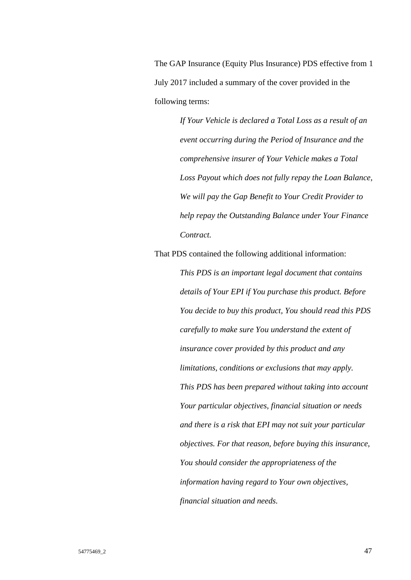The GAP Insurance (Equity Plus Insurance) PDS effective from 1 July 2017 included a summary of the cover provided in the following terms:

> *If Your Vehicle is declared a Total Loss as a result of an event occurring during the Period of Insurance and the comprehensive insurer of Your Vehicle makes a Total Loss Payout which does not fully repay the Loan Balance, We will pay the Gap Benefit to Your Credit Provider to help repay the Outstanding Balance under Your Finance Contract.*

That PDS contained the following additional information:

*This PDS is an important legal document that contains details of Your EPI if You purchase this product. Before You decide to buy this product, You should read this PDS carefully to make sure You understand the extent of insurance cover provided by this product and any limitations, conditions or exclusions that may apply. This PDS has been prepared without taking into account Your particular objectives, financial situation or needs and there is a risk that EPI may not suit your particular objectives. For that reason, before buying this insurance, You should consider the appropriateness of the information having regard to Your own objectives, financial situation and needs.*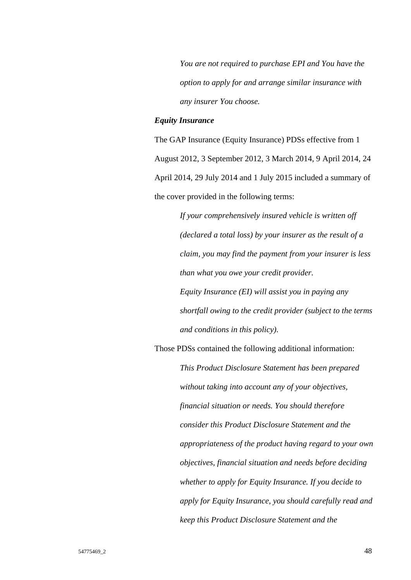*You are not required to purchase EPI and You have the option to apply for and arrange similar insurance with any insurer You choose.*

## *Equity Insurance*

The GAP Insurance (Equity Insurance) PDSs effective from 1 August 2012, 3 September 2012, 3 March 2014, 9 April 2014, 24 April 2014, 29 July 2014 and 1 July 2015 included a summary of the cover provided in the following terms:

> *If your comprehensively insured vehicle is written off (declared a total loss) by your insurer as the result of a claim, you may find the payment from your insurer is less than what you owe your credit provider. Equity Insurance (EI) will assist you in paying any shortfall owing to the credit provider (subject to the terms*

*and conditions in this policy).*

Those PDSs contained the following additional information:

*This Product Disclosure Statement has been prepared without taking into account any of your objectives, financial situation or needs. You should therefore consider this Product Disclosure Statement and the appropriateness of the product having regard to your own objectives, financial situation and needs before deciding whether to apply for Equity Insurance. If you decide to apply for Equity Insurance, you should carefully read and keep this Product Disclosure Statement and the*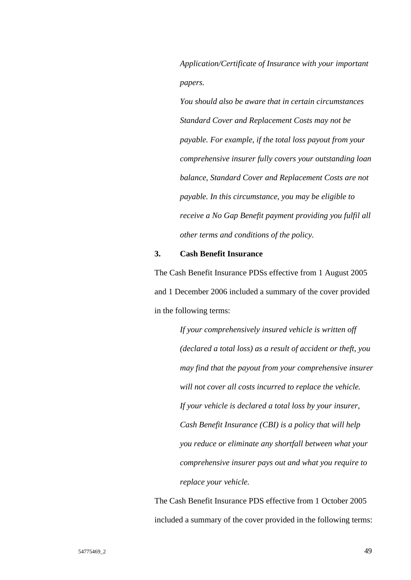*Application/Certificate of Insurance with your important papers.* 

*You should also be aware that in certain circumstances Standard Cover and Replacement Costs may not be payable. For example, if the total loss payout from your comprehensive insurer fully covers your outstanding loan balance, Standard Cover and Replacement Costs are not payable. In this circumstance, you may be eligible to receive a No Gap Benefit payment providing you fulfil all other terms and conditions of the policy.*

## **3. Cash Benefit Insurance**

The Cash Benefit Insurance PDSs effective from 1 August 2005 and 1 December 2006 included a summary of the cover provided in the following terms:

> *If your comprehensively insured vehicle is written off (declared a total loss) as a result of accident or theft, you may find that the payout from your comprehensive insurer will not cover all costs incurred to replace the vehicle. If your vehicle is declared a total loss by your insurer, Cash Benefit Insurance (CBI) is a policy that will help you reduce or eliminate any shortfall between what your comprehensive insurer pays out and what you require to replace your vehicle.*

The Cash Benefit Insurance PDS effective from 1 October 2005 included a summary of the cover provided in the following terms: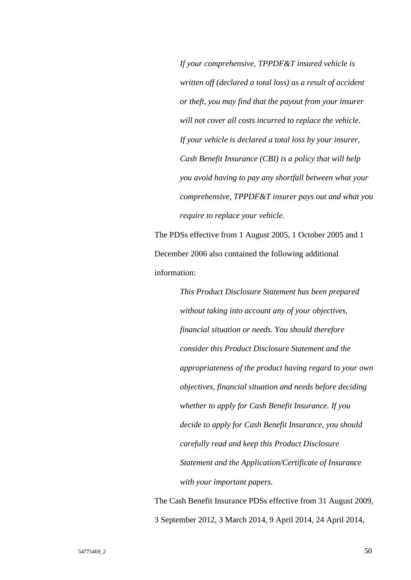*If your comprehensive, TPPDF&T insured vehicle is written off (declared a total loss) as a result of accident or theft, you may find that the payout from your insurer will not cover all costs incurred to replace the vehicle. If your vehicle is declared a total loss by your insurer, Cash Benefit Insurance (CBI) is a policy that will help you avoid having to pay any shortfall between what your comprehensive, TPPDF&T insurer pays out and what you require to replace your vehicle.*

The PDSs effective from 1 August 2005, 1 October 2005 and 1 December 2006 also contained the following additional information:

> *This Product Disclosure Statement has been prepared without taking into account any of your objectives, financial situation or needs. You should therefore consider this Product Disclosure Statement and the appropriateness of the product having regard to your own objectives, financial situation and needs before deciding whether to apply for Cash Benefit Insurance. If you decide to apply for Cash Benefit Insurance, you should carefully read and keep this Product Disclosure Statement and the Application/Certificate of Insurance with your important papers.*

The Cash Benefit Insurance PDSs effective from 31 August 2009, 3 September 2012, 3 March 2014, 9 April 2014, 24 April 2014,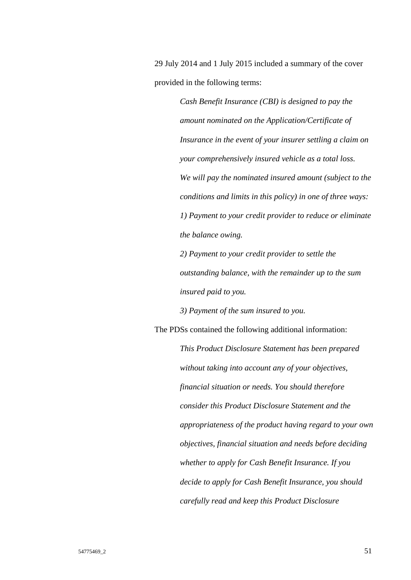29 July 2014 and 1 July 2015 included a summary of the cover provided in the following terms:

> *Cash Benefit Insurance (CBI) is designed to pay the amount nominated on the Application/Certificate of Insurance in the event of your insurer settling a claim on your comprehensively insured vehicle as a total loss. We will pay the nominated insured amount (subject to the conditions and limits in this policy) in one of three ways: 1) Payment to your credit provider to reduce or eliminate the balance owing.*

*2) Payment to your credit provider to settle the outstanding balance, with the remainder up to the sum insured paid to you.* 

*3) Payment of the sum insured to you.*

The PDSs contained the following additional information:

*This Product Disclosure Statement has been prepared without taking into account any of your objectives, financial situation or needs. You should therefore consider this Product Disclosure Statement and the appropriateness of the product having regard to your own objectives, financial situation and needs before deciding whether to apply for Cash Benefit Insurance. If you decide to apply for Cash Benefit Insurance, you should carefully read and keep this Product Disclosure*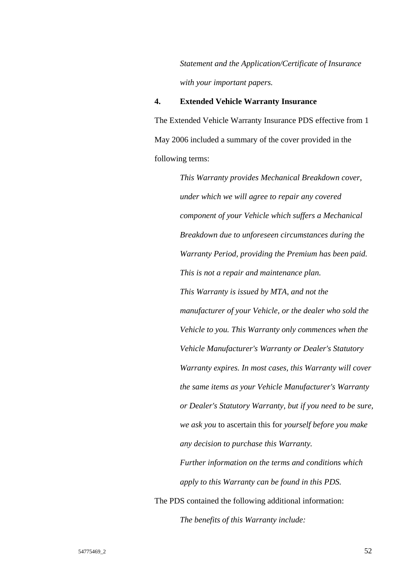*Statement and the Application/Certificate of Insurance with your important papers.*

## **4. Extended Vehicle Warranty Insurance**

The Extended Vehicle Warranty Insurance PDS effective from 1 May 2006 included a summary of the cover provided in the following terms:

> *This Warranty provides Mechanical Breakdown cover, under which we will agree to repair any covered component of your Vehicle which suffers a Mechanical Breakdown due to unforeseen circumstances during the Warranty Period, providing the Premium has been paid. This is not a repair and maintenance plan. This Warranty is issued by MTA, and not the manufacturer of your Vehicle, or the dealer who sold the Vehicle to you. This Warranty only commences when the Vehicle Manufacturer's Warranty or Dealer's Statutory Warranty expires. In most cases, this Warranty will cover the same items as your Vehicle Manufacturer's Warranty or Dealer's Statutory Warranty, but if you need to be sure, we ask you* to ascertain this for *yourself before you make any decision to purchase this Warranty. Further information on the terms and conditions which*

*apply to this Warranty can be found in this PDS.*

The PDS contained the following additional information: *The benefits of this Warranty include:*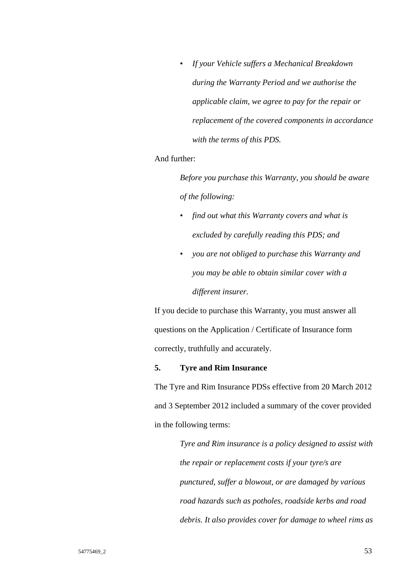• *If your Vehicle suffers a Mechanical Breakdown during the Warranty Period and we authorise the applicable claim, we agree to pay for the repair or replacement of the covered components in accordance with the terms of this PDS.*

# And further:

*Before you purchase this Warranty, you should be aware of the following:* 

- *find out what this Warranty covers and what is excluded by carefully reading this PDS; and*
- *you are not obliged to purchase this Warranty and you may be able to obtain similar cover with a different insurer.*

If you decide to purchase this Warranty, you must answer all questions on the Application / Certificate of Insurance form correctly, truthfully and accurately.

## **5. Tyre and Rim Insurance**

The Tyre and Rim Insurance PDSs effective from 20 March 2012 and 3 September 2012 included a summary of the cover provided in the following terms:

> *Tyre and Rim insurance is a policy designed to assist with the repair or replacement costs if your tyre/s are punctured, suffer a blowout, or are damaged by various road hazards such as potholes, roadside kerbs and road debris. It also provides cover for damage to wheel rims as*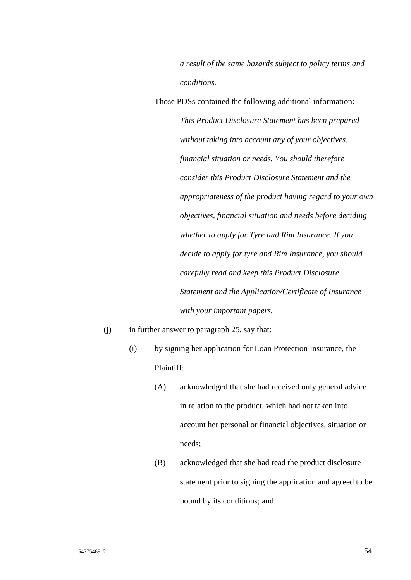*a result of the same hazards subject to policy terms and conditions.*

Those PDSs contained the following additional information: *This Product Disclosure Statement has been prepared without taking into account any of your objectives, financial situation or needs. You should therefore consider this Product Disclosure Statement and the appropriateness of the product having regard to your own objectives, financial situation and needs before deciding whether to apply for Tyre and Rim Insurance. If you decide to apply for tyre and Rim Insurance, you should carefully read and keep this Product Disclosure Statement and the Application/Certificate of Insurance with your important papers.*

- $(i)$  in further answer to paragraph 25, say that:
	- (i) by signing her application for Loan Protection Insurance, the Plaintiff:
		- (A) acknowledged that she had received only general advice in relation to the product, which had not taken into account her personal or financial objectives, situation or needs;
		- (B) acknowledged that she had read the product disclosure statement prior to signing the application and agreed to be bound by its conditions; and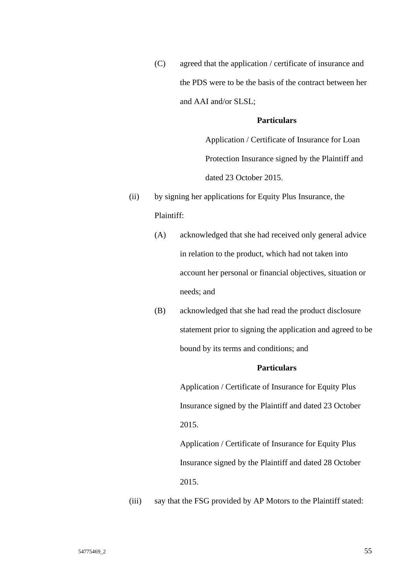(C) agreed that the application / certificate of insurance and the PDS were to be the basis of the contract between her and AAI and/or SLSL;

## **Particulars**

Application / Certificate of Insurance for Loan Protection Insurance signed by the Plaintiff and dated 23 October 2015.

- (ii) by signing her applications for Equity Plus Insurance, the Plaintiff:
	- (A) acknowledged that she had received only general advice in relation to the product, which had not taken into account her personal or financial objectives, situation or needs; and
	- (B) acknowledged that she had read the product disclosure statement prior to signing the application and agreed to be bound by its terms and conditions; and

# **Particulars**

Application / Certificate of Insurance for Equity Plus Insurance signed by the Plaintiff and dated 23 October 2015.

Application / Certificate of Insurance for Equity Plus Insurance signed by the Plaintiff and dated 28 October 2015.

(iii) say that the FSG provided by AP Motors to the Plaintiff stated: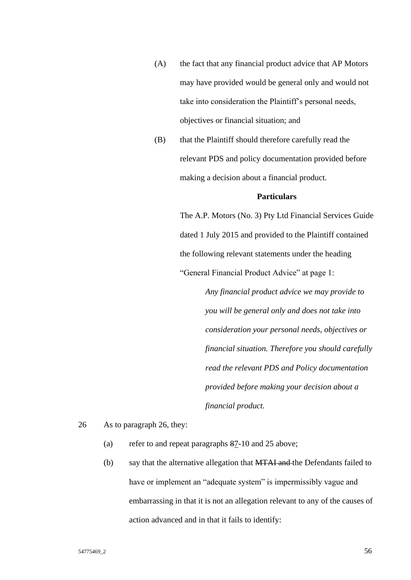- (A) the fact that any financial product advice that AP Motors may have provided would be general only and would not take into consideration the Plaintiff's personal needs, objectives or financial situation; and
- (B) that the Plaintiff should therefore carefully read the relevant PDS and policy documentation provided before making a decision about a financial product.

The A.P. Motors (No. 3) Pty Ltd Financial Services Guide dated 1 July 2015 and provided to the Plaintiff contained the following relevant statements under the heading "General Financial Product Advice" at page 1:

> *Any financial product advice we may provide to you will be general only and does not take into consideration your personal needs, objectives or financial situation. Therefore you should carefully read the relevant PDS and Policy documentation provided before making your decision about a financial product.*

26 As to paragraph 26, they:

- (a) refer to and repeat paragraphs 87-10 and 25 above;
- (b) say that the alternative allegation that MTAI and the Defendants failed to have or implement an "adequate system" is impermissibly vague and embarrassing in that it is not an allegation relevant to any of the causes of action advanced and in that it fails to identify: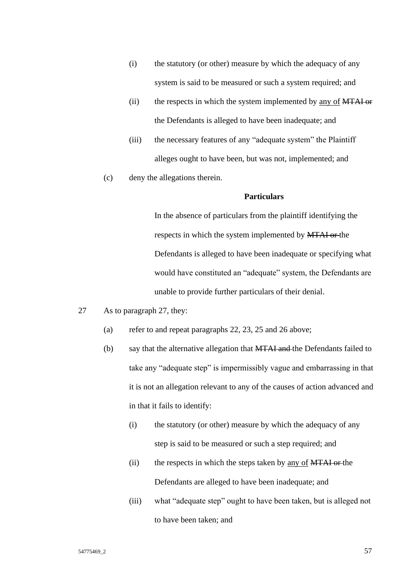- (i) the statutory (or other) measure by which the adequacy of any system is said to be measured or such a system required; and
- (ii) the respects in which the system implemented by <u>any of MTAI or</u> the Defendants is alleged to have been inadequate; and
- (iii) the necessary features of any "adequate system" the Plaintiff alleges ought to have been, but was not, implemented; and
- (c) deny the allegations therein.

In the absence of particulars from the plaintiff identifying the respects in which the system implemented by MTAI or the Defendants is alleged to have been inadequate or specifying what would have constituted an "adequate" system, the Defendants are unable to provide further particulars of their denial.

- 27 As to paragraph 27, they:
	- (a) refer to and repeat paragraphs 22, 23, 25 and 26 above;
	- (b) say that the alternative allegation that MTAI and the Defendants failed to take any "adequate step" is impermissibly vague and embarrassing in that it is not an allegation relevant to any of the causes of action advanced and in that it fails to identify:
		- (i) the statutory (or other) measure by which the adequacy of any step is said to be measured or such a step required; and
		- (ii) the respects in which the steps taken by  $\frac{\text{any of } MTAI \text{ or the}}{\text{any of } MTAI}$ Defendants are alleged to have been inadequate; and
		- (iii) what "adequate step" ought to have been taken, but is alleged not to have been taken; and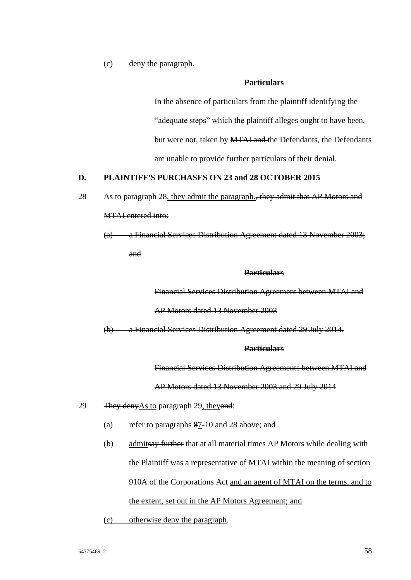(c) deny the paragraph.

## **Particulars**

In the absence of particulars from the plaintiff identifying the "adequate steps" which the plaintiff alleges ought to have been, but were not, taken by **MTAI and** the Defendants, the Defendants are unable to provide further particulars of their denial.

# **D. PLAINTIFF'S PURCHASES ON 23 and 28 OCTOBER 2015**

- 28 As to paragraph 28, they admit the paragraph., they admit that AP Motors and MTAI entered into:
	- (a) a Financial Services Distribution Agreement dated 13 November 2003; and

## **Particulars**

Financial Services Distribution Agreement between MTAI and

AP Motors dated 13 November 2003

(b) a Financial Services Distribution Agreement dated 29 July 2014.

## **Particulars**

Financial Services Distribution Agreements between MTAI and

## AP Motors dated 13 November 2003 and 29 July 2014

- 29 They deny As to paragraph 29, they and:
	- (a) refer to paragraphs 87-10 and 28 above; and
	- (b) admitsay further that at all material times AP Motors while dealing with the Plaintiff was a representative of MTAI within the meaning of section 910A of the Corporations Act and an agent of MTAI on the terms, and to the extent, set out in the AP Motors Agreement; and
	- (c) otherwise deny the paragraph.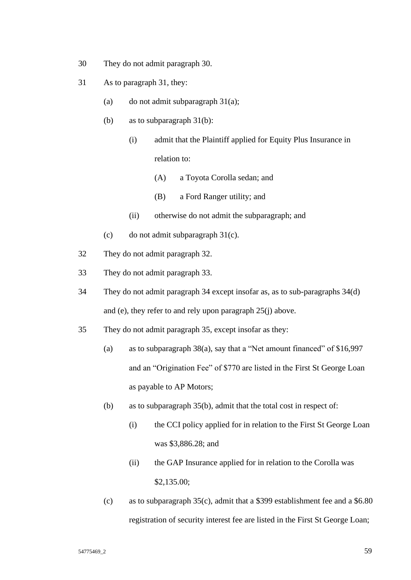- 30 They do not admit paragraph 30.
- 31 As to paragraph 31, they:
	- (a) do not admit subparagraph  $31(a)$ ;
	- (b) as to subparagraph 31(b):
		- (i) admit that the Plaintiff applied for Equity Plus Insurance in relation to:
			- (A) a Toyota Corolla sedan; and
			- (B) a Ford Ranger utility; and
		- (ii) otherwise do not admit the subparagraph; and
	- (c) do not admit subparagraph 31(c).
- 32 They do not admit paragraph 32.
- 33 They do not admit paragraph 33.
- 34 They do not admit paragraph 34 except insofar as, as to sub-paragraphs 34(d) and (e), they refer to and rely upon paragraph 25(j) above.
- 35 They do not admit paragraph 35, except insofar as they:
	- (a) as to subparagraph 38(a), say that a "Net amount financed" of \$16,997 and an "Origination Fee" of \$770 are listed in the First St George Loan as payable to AP Motors;
	- (b) as to subparagraph 35(b), admit that the total cost in respect of:
		- (i) the CCI policy applied for in relation to the First St George Loan was \$3,886.28; and
		- (ii) the GAP Insurance applied for in relation to the Corolla was \$2,135.00;
	- (c) as to subparagraph 35(c), admit that a \$399 establishment fee and a \$6.80 registration of security interest fee are listed in the First St George Loan;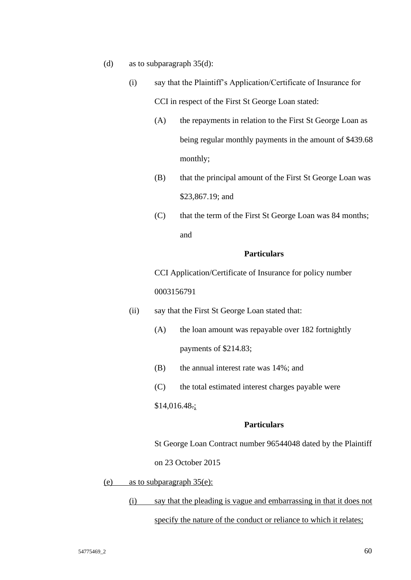- (d) as to subparagraph 35(d):
	- (i) say that the Plaintiff's Application/Certificate of Insurance for CCI in respect of the First St George Loan stated:
		- (A) the repayments in relation to the First St George Loan as being regular monthly payments in the amount of \$439.68 monthly;
		- (B) that the principal amount of the First St George Loan was \$23,867.19; and
		- (C) that the term of the First St George Loan was 84 months; and

CCI Application/Certificate of Insurance for policy number 0003156791

- (ii) say that the First St George Loan stated that:
	- (A) the loan amount was repayable over 182 fortnightly payments of \$214.83;
	- (B) the annual interest rate was 14%; and
	- (C) the total estimated interest charges payable were

## \$14,016.48.;

#### **Particulars**

St George Loan Contract number 96544048 dated by the Plaintiff

on 23 October 2015

- (e) as to subparagraph 35(e):
	- (i) say that the pleading is vague and embarrassing in that it does not

specify the nature of the conduct or reliance to which it relates;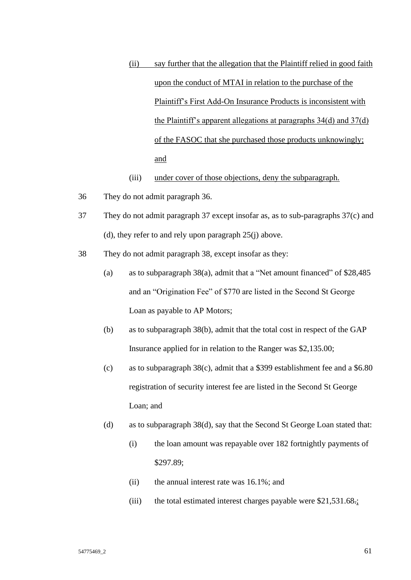- (ii) say further that the allegation that the Plaintiff relied in good faith upon the conduct of MTAI in relation to the purchase of the Plaintiff's First Add-On Insurance Products is inconsistent with the Plaintiff's apparent allegations at paragraphs 34(d) and 37(d) of the FASOC that she purchased those products unknowingly; and
- (iii) under cover of those objections, deny the subparagraph.
- 36 They do not admit paragraph 36.
- 37 They do not admit paragraph 37 except insofar as, as to sub-paragraphs 37(c) and (d), they refer to and rely upon paragraph 25(j) above.
- 38 They do not admit paragraph 38, except insofar as they:
	- (a) as to subparagraph 38(a), admit that a "Net amount financed" of \$28,485 and an "Origination Fee" of \$770 are listed in the Second St George Loan as payable to AP Motors;
	- (b) as to subparagraph 38(b), admit that the total cost in respect of the GAP Insurance applied for in relation to the Ranger was \$2,135.00;
	- (c) as to subparagraph 38(c), admit that a \$399 establishment fee and a \$6.80 registration of security interest fee are listed in the Second St George Loan; and
	- (d) as to subparagraph 38(d), say that the Second St George Loan stated that:
		- (i) the loan amount was repayable over 182 fortnightly payments of \$297.89;
		- (ii) the annual interest rate was 16.1%; and
		- (iii) the total estimated interest charges payable were  $$21,531.68$ .;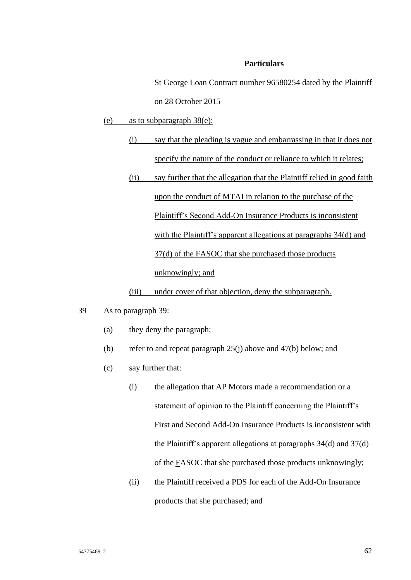St George Loan Contract number 96580254 dated by the Plaintiff on 28 October 2015

(e) as to subparagraph 38(e):

- (i) say that the pleading is vague and embarrassing in that it does not specify the nature of the conduct or reliance to which it relates;
- (ii) say further that the allegation that the Plaintiff relied in good faith upon the conduct of MTAI in relation to the purchase of the Plaintiff's Second Add-On Insurance Products is inconsistent with the Plaintiff's apparent allegations at paragraphs 34(d) and 37(d) of the FASOC that she purchased those products unknowingly; and

(iii) under cover of that objection, deny the subparagraph.

- 39 As to paragraph 39:
	- (a) they deny the paragraph;
	- (b) refer to and repeat paragraph 25(j) above and 47(b) below; and
	- (c) say further that:
		- (i) the allegation that AP Motors made a recommendation or a statement of opinion to the Plaintiff concerning the Plaintiff's First and Second Add-On Insurance Products is inconsistent with the Plaintiff's apparent allegations at paragraphs 34(d) and 37(d) of the FASOC that she purchased those products unknowingly;
		- (ii) the Plaintiff received a PDS for each of the Add-On Insurance products that she purchased; and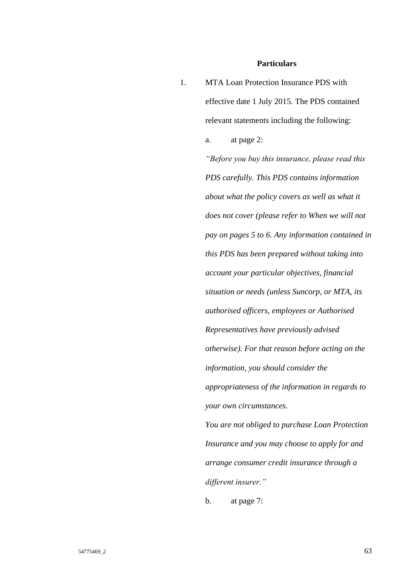1. MTA Loan Protection Insurance PDS with effective date 1 July 2015. The PDS contained relevant statements including the following: a. at page 2: *"Before you buy this insurance, please read this PDS carefully. This PDS contains information about what the policy covers as well as what it does not cover (please refer to When we will not pay on pages 5 to 6. Any information contained in this PDS has been prepared without taking into account your particular objectives, financial situation or needs (unless Suncorp, or MTA, its authorised officers, employees or Authorised Representatives have previously advised otherwise). For that reason before acting on the information, you should consider the appropriateness of the information in regards to your own circumstances. You are not obliged to purchase Loan Protection Insurance and you may choose to apply for and arrange consumer credit insurance through a different insurer."*

b. at page 7: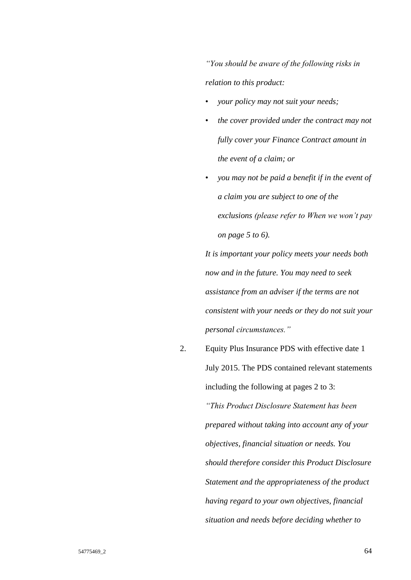*"You should be aware of the following risks in relation to this product:*

- *your policy may not suit your needs;*
- *the cover provided under the contract may not fully cover your Finance Contract amount in the event of a claim; or*
- *you may not be paid a benefit if in the event of a claim you are subject to one of the exclusions (please refer to When we won't pay on page 5 to 6).*

*It is important your policy meets your needs both now and in the future. You may need to seek assistance from an adviser if the terms are not consistent with your needs or they do not suit your personal circumstances."*

2. Equity Plus Insurance PDS with effective date 1 July 2015. The PDS contained relevant statements including the following at pages 2 to 3: *"This Product Disclosure Statement has been prepared without taking into account any of your objectives, financial situation or needs. You should therefore consider this Product Disclosure Statement and the appropriateness of the product having regard to your own objectives, financial situation and needs before deciding whether to*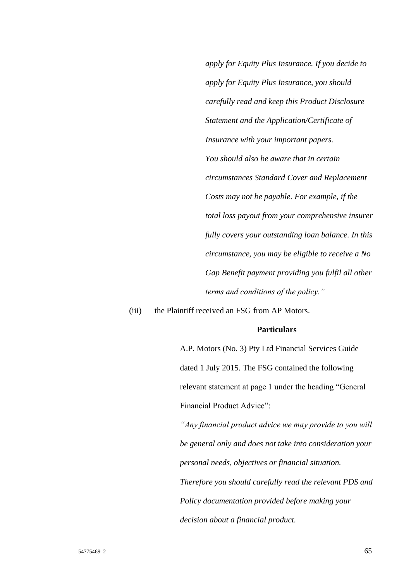*apply for Equity Plus Insurance. If you decide to apply for Equity Plus Insurance, you should carefully read and keep this Product Disclosure Statement and the Application/Certificate of Insurance with your important papers. You should also be aware that in certain circumstances Standard Cover and Replacement Costs may not be payable. For example, if the total loss payout from your comprehensive insurer fully covers your outstanding loan balance. In this circumstance, you may be eligible to receive a No Gap Benefit payment providing you fulfil all other terms and conditions of the policy."*

(iii) the Plaintiff received an FSG from AP Motors.

## **Particulars**

A.P. Motors (No. 3) Pty Ltd Financial Services Guide dated 1 July 2015. The FSG contained the following relevant statement at page 1 under the heading "General Financial Product Advice":

*"Any financial product advice we may provide to you will be general only and does not take into consideration your personal needs, objectives or financial situation.* 

*Therefore you should carefully read the relevant PDS and Policy documentation provided before making your decision about a financial product.*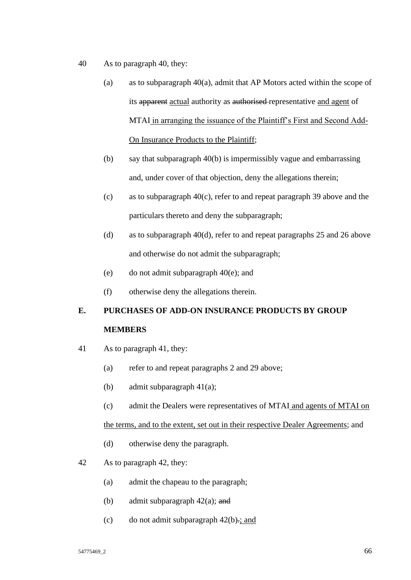- 40 As to paragraph 40, they:
	- (a) as to subparagraph  $40(a)$ , admit that AP Motors acted within the scope of its apparent actual authority as authorised representative and agent of MTAI in arranging the issuance of the Plaintiff's First and Second Add-On Insurance Products to the Plaintiff;
	- (b) say that subparagraph 40(b) is impermissibly vague and embarrassing and, under cover of that objection, deny the allegations therein;
	- (c) as to subparagraph 40(c), refer to and repeat paragraph 39 above and the particulars thereto and deny the subparagraph;
	- (d) as to subparagraph 40(d), refer to and repeat paragraphs 25 and 26 above and otherwise do not admit the subparagraph;
	- (e) do not admit subparagraph  $40(e)$ ; and
	- (f) otherwise deny the allegations therein.

# **E. PURCHASES OF ADD-ON INSURANCE PRODUCTS BY GROUP MEMBERS**

- 41 As to paragraph 41, they:
	- (a) refer to and repeat paragraphs 2 and 29 above;
	- (b) admit subparagraph 41(a);
	- (c) admit the Dealers were representatives of MTAI and agents of MTAI on

the terms, and to the extent, set out in their respective Dealer Agreements; and

- (d) otherwise deny the paragraph.
- 42 As to paragraph 42, they:
	- (a) admit the chapeau to the paragraph;
	- (b) admit subparagraph  $42(a)$ ; and
	- (c) do not admit subparagraph  $42(b)$ .; and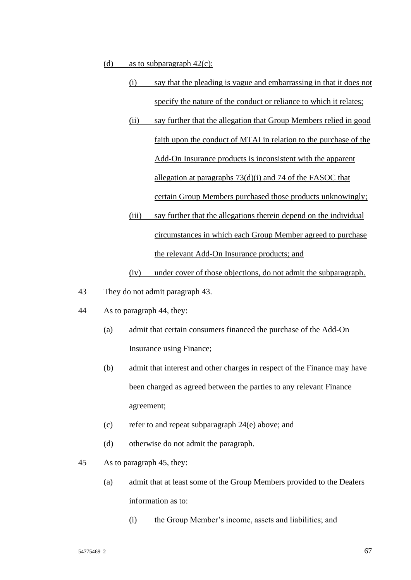- (d) as to subparagraph  $42(c)$ :
	- (i) say that the pleading is vague and embarrassing in that it does not specify the nature of the conduct or reliance to which it relates;
	- (ii) say further that the allegation that Group Members relied in good faith upon the conduct of MTAI in relation to the purchase of the Add-On Insurance products is inconsistent with the apparent allegation at paragraphs 73(d)(i) and 74 of the FASOC that certain Group Members purchased those products unknowingly;
	- (iii) say further that the allegations therein depend on the individual circumstances in which each Group Member agreed to purchase the relevant Add-On Insurance products; and

# (iv) under cover of those objections, do not admit the subparagraph.

- 43 They do not admit paragraph 43.
- 44 As to paragraph 44, they:
	- (a) admit that certain consumers financed the purchase of the Add-On Insurance using Finance;
	- (b) admit that interest and other charges in respect of the Finance may have been charged as agreed between the parties to any relevant Finance agreement;
	- (c) refer to and repeat subparagraph 24(e) above; and
	- (d) otherwise do not admit the paragraph.
- 45 As to paragraph 45, they:
	- (a) admit that at least some of the Group Members provided to the Dealers information as to:
		- (i) the Group Member's income, assets and liabilities; and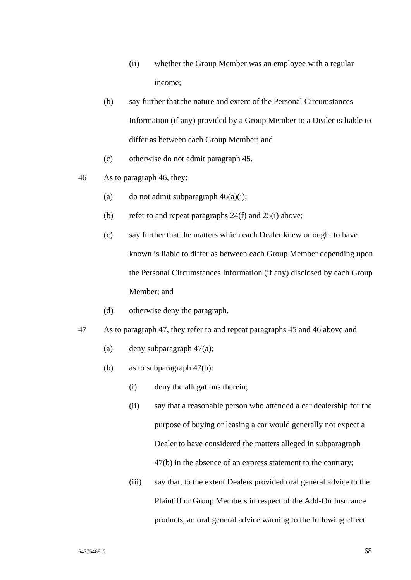- (ii) whether the Group Member was an employee with a regular income;
- (b) say further that the nature and extent of the Personal Circumstances Information (if any) provided by a Group Member to a Dealer is liable to differ as between each Group Member; and
- (c) otherwise do not admit paragraph 45.
- 46 As to paragraph 46, they:
	- (a) do not admit subparagraph  $46(a)(i)$ ;
	- (b) refer to and repeat paragraphs 24(f) and 25(i) above;
	- (c) say further that the matters which each Dealer knew or ought to have known is liable to differ as between each Group Member depending upon the Personal Circumstances Information (if any) disclosed by each Group Member; and
	- (d) otherwise deny the paragraph.
- 47 As to paragraph 47, they refer to and repeat paragraphs 45 and 46 above and
	- (a) deny subparagraph  $47(a)$ ;
	- (b) as to subparagraph 47(b):
		- (i) deny the allegations therein;
		- (ii) say that a reasonable person who attended a car dealership for the purpose of buying or leasing a car would generally not expect a Dealer to have considered the matters alleged in subparagraph 47(b) in the absence of an express statement to the contrary;
		- (iii) say that, to the extent Dealers provided oral general advice to the Plaintiff or Group Members in respect of the Add-On Insurance products, an oral general advice warning to the following effect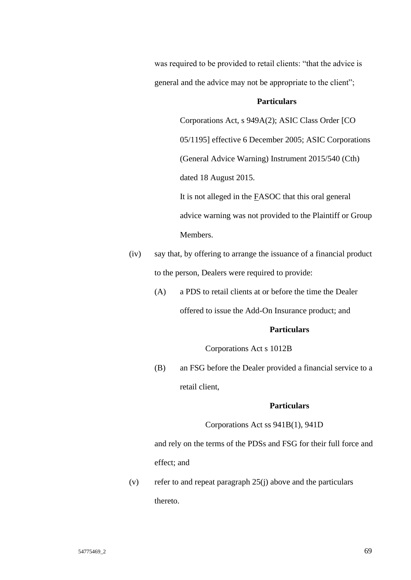was required to be provided to retail clients: "that the advice is general and the advice may not be appropriate to the client";

## **Particulars**

Corporations Act, s 949A(2); ASIC Class Order [CO 05/1195] effective 6 December 2005; ASIC Corporations (General Advice Warning) Instrument 2015/540 (Cth) dated 18 August 2015.

It is not alleged in the FASOC that this oral general advice warning was not provided to the Plaintiff or Group Members.

- (iv) say that, by offering to arrange the issuance of a financial product to the person, Dealers were required to provide:
	- (A) a PDS to retail clients at or before the time the Dealer

offered to issue the Add-On Insurance product; and

## **Particulars**

Corporations Act s 1012B

(B) an FSG before the Dealer provided a financial service to a retail client,

## **Particulars**

Corporations Act ss 941B(1), 941D

and rely on the terms of the PDSs and FSG for their full force and effect; and

(v) refer to and repeat paragraph  $25(i)$  above and the particulars thereto.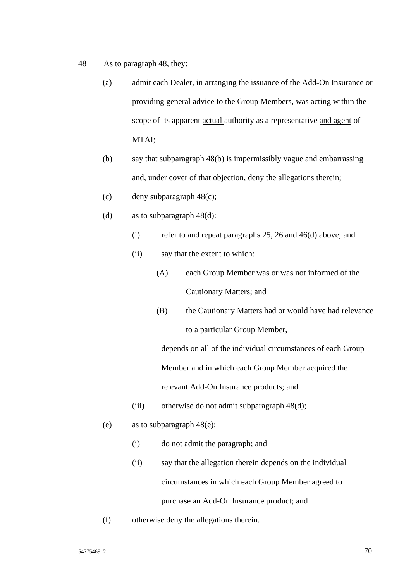- 48 As to paragraph 48, they:
	- (a) admit each Dealer, in arranging the issuance of the Add-On Insurance or providing general advice to the Group Members, was acting within the scope of its apparent actual authority as a representative and agent of MTAI;
	- (b) say that subparagraph 48(b) is impermissibly vague and embarrassing and, under cover of that objection, deny the allegations therein;
	- (c) deny subparagraph 48(c);
	- (d) as to subparagraph 48(d):
		- (i) refer to and repeat paragraphs 25, 26 and 46(d) above; and
		- (ii) say that the extent to which:
			- (A) each Group Member was or was not informed of the Cautionary Matters; and
			- (B) the Cautionary Matters had or would have had relevance to a particular Group Member,

depends on all of the individual circumstances of each Group Member and in which each Group Member acquired the relevant Add-On Insurance products; and

- (iii) otherwise do not admit subparagraph 48(d);
- (e) as to subparagraph 48(e):
	- (i) do not admit the paragraph; and
	- (ii) say that the allegation therein depends on the individual circumstances in which each Group Member agreed to purchase an Add-On Insurance product; and
- (f) otherwise deny the allegations therein.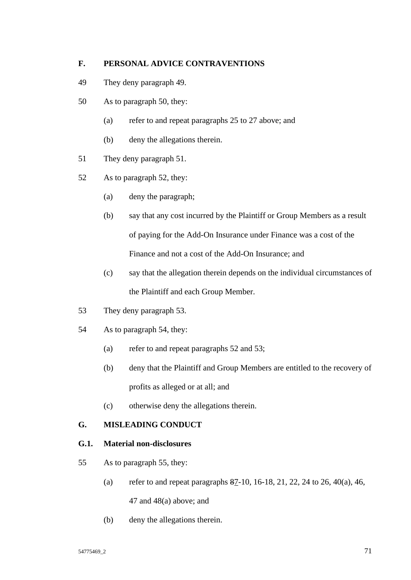# **F. PERSONAL ADVICE CONTRAVENTIONS**

- 49 They deny paragraph 49.
- 50 As to paragraph 50, they:
	- (a) refer to and repeat paragraphs 25 to 27 above; and
	- (b) deny the allegations therein.
- 51 They deny paragraph 51.
- 52 As to paragraph 52, they:
	- (a) deny the paragraph;
	- (b) say that any cost incurred by the Plaintiff or Group Members as a result of paying for the Add-On Insurance under Finance was a cost of the Finance and not a cost of the Add-On Insurance; and
	- (c) say that the allegation therein depends on the individual circumstances of the Plaintiff and each Group Member.
- 53 They deny paragraph 53.
- 54 As to paragraph 54, they:
	- (a) refer to and repeat paragraphs 52 and 53;
	- (b) deny that the Plaintiff and Group Members are entitled to the recovery of profits as alleged or at all; and
	- (c) otherwise deny the allegations therein.

# **G. MISLEADING CONDUCT**

# **G.1. Material non-disclosures**

- 55 As to paragraph 55, they:
	- (a) refer to and repeat paragraphs  $87-10$ , 16-18, 21, 22, 24 to 26, 40(a), 46, 47 and 48(a) above; and
	- (b) deny the allegations therein.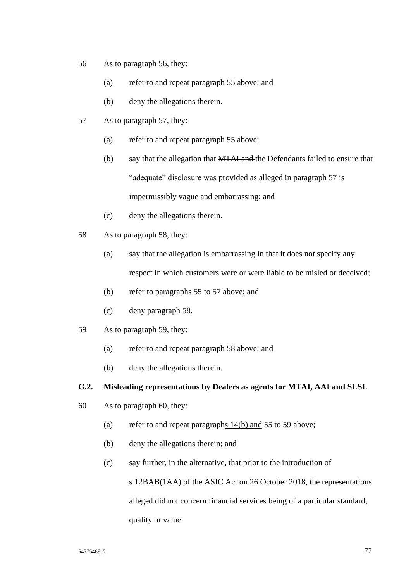- 56 As to paragraph 56, they:
	- (a) refer to and repeat paragraph 55 above; and
	- (b) deny the allegations therein.
- 57 As to paragraph 57, they:
	- (a) refer to and repeat paragraph 55 above;
	- (b) say that the allegation that MTAI and the Defendants failed to ensure that "adequate" disclosure was provided as alleged in paragraph 57 is impermissibly vague and embarrassing; and
	- (c) deny the allegations therein.
- 58 As to paragraph 58, they:
	- (a) say that the allegation is embarrassing in that it does not specify any respect in which customers were or were liable to be misled or deceived;
	- (b) refer to paragraphs 55 to 57 above; and
	- (c) deny paragraph 58.
- 59 As to paragraph 59, they:
	- (a) refer to and repeat paragraph 58 above; and
	- (b) deny the allegations therein.

## **G.2. Misleading representations by Dealers as agents for MTAI, AAI and SLSL**

- 60 As to paragraph 60, they:
	- (a) refer to and repeat paragraphs 14(b) and 55 to 59 above;
	- (b) deny the allegations therein; and
	- (c) say further, in the alternative, that prior to the introduction of

s 12BAB(1AA) of the ASIC Act on 26 October 2018, the representations alleged did not concern financial services being of a particular standard, quality or value.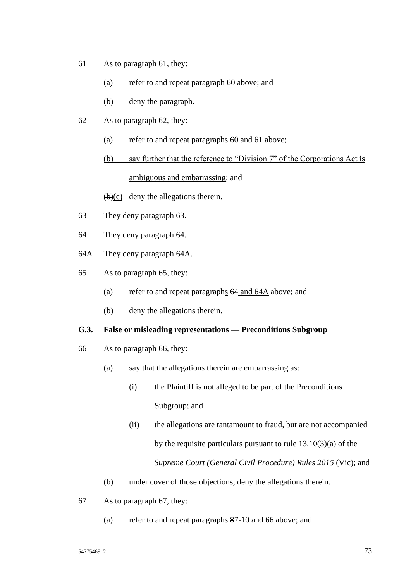- 61 As to paragraph 61, they:
	- (a) refer to and repeat paragraph 60 above; and
	- (b) deny the paragraph.
- 62 As to paragraph 62, they:
	- (a) refer to and repeat paragraphs 60 and 61 above;
	- (b) say further that the reference to "Division 7" of the Corporations Act is ambiguous and embarrassing; and

 $(b)(c)$  deny the allegations therein.

- 63 They deny paragraph 63.
- 64 They deny paragraph 64.
- 64A They deny paragraph 64A.
- 65 As to paragraph 65, they:
	- (a) refer to and repeat paragraphs 64 and 64A above; and
	- (b) deny the allegations therein.

### **G.3. False or misleading representations — Preconditions Subgroup**

- 66 As to paragraph 66, they:
	- (a) say that the allegations therein are embarrassing as:
		- (i) the Plaintiff is not alleged to be part of the Preconditions Subgroup; and
		- (ii) the allegations are tantamount to fraud, but are not accompanied by the requisite particulars pursuant to rule 13.10(3)(a) of the *Supreme Court (General Civil Procedure) Rules 2015* (Vic); and
	- (b) under cover of those objections, deny the allegations therein.
- 67 As to paragraph 67, they:
	- (a) refer to and repeat paragraphs 87-10 and 66 above; and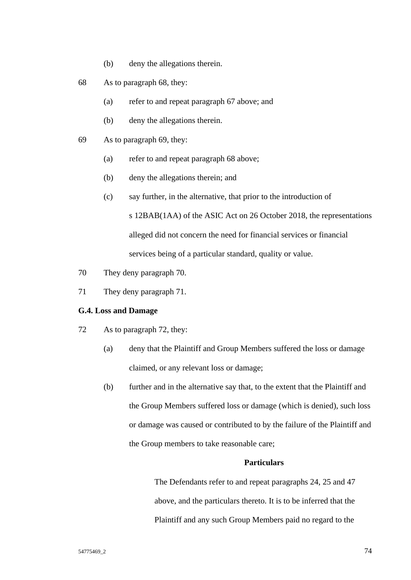- (b) deny the allegations therein.
- 68 As to paragraph 68, they:
	- (a) refer to and repeat paragraph 67 above; and
	- (b) deny the allegations therein.
- 69 As to paragraph 69, they:
	- (a) refer to and repeat paragraph 68 above;
	- (b) deny the allegations therein; and
	- (c) say further, in the alternative, that prior to the introduction of s 12BAB(1AA) of the ASIC Act on 26 October 2018, the representations alleged did not concern the need for financial services or financial services being of a particular standard, quality or value.
- 70 They deny paragraph 70.
- 71 They deny paragraph 71.

#### **G.4. Loss and Damage**

- 72 As to paragraph 72, they:
	- (a) deny that the Plaintiff and Group Members suffered the loss or damage claimed, or any relevant loss or damage;
	- (b) further and in the alternative say that, to the extent that the Plaintiff and the Group Members suffered loss or damage (which is denied), such loss or damage was caused or contributed to by the failure of the Plaintiff and the Group members to take reasonable care;

#### **Particulars**

The Defendants refer to and repeat paragraphs 24, 25 and 47 above, and the particulars thereto. It is to be inferred that the Plaintiff and any such Group Members paid no regard to the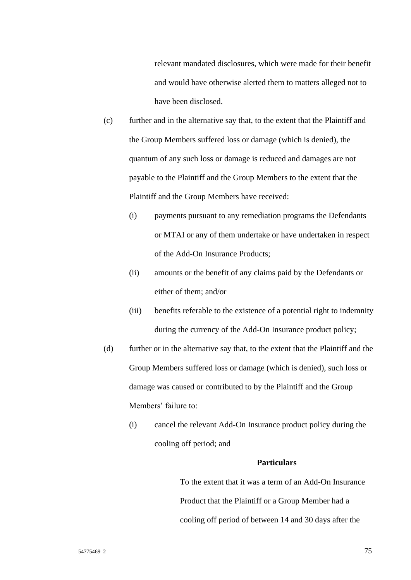relevant mandated disclosures, which were made for their benefit and would have otherwise alerted them to matters alleged not to have been disclosed.

- (c) further and in the alternative say that, to the extent that the Plaintiff and the Group Members suffered loss or damage (which is denied), the quantum of any such loss or damage is reduced and damages are not payable to the Plaintiff and the Group Members to the extent that the Plaintiff and the Group Members have received:
	- (i) payments pursuant to any remediation programs the Defendants or MTAI or any of them undertake or have undertaken in respect of the Add-On Insurance Products;
	- (ii) amounts or the benefit of any claims paid by the Defendants or either of them; and/or
	- (iii) benefits referable to the existence of a potential right to indemnity during the currency of the Add-On Insurance product policy;
- (d) further or in the alternative say that, to the extent that the Plaintiff and the Group Members suffered loss or damage (which is denied), such loss or damage was caused or contributed to by the Plaintiff and the Group Members' failure to:
	- (i) cancel the relevant Add-On Insurance product policy during the cooling off period; and

#### **Particulars**

To the extent that it was a term of an Add-On Insurance Product that the Plaintiff or a Group Member had a cooling off period of between 14 and 30 days after the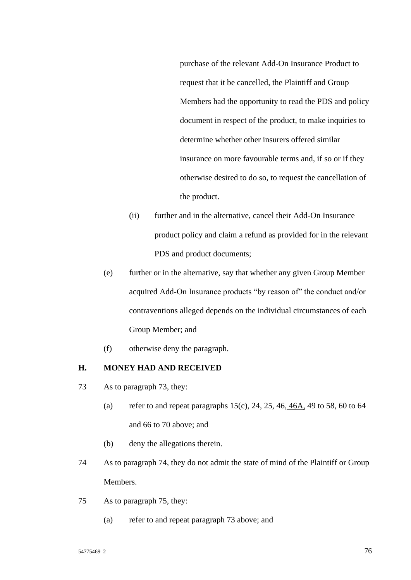purchase of the relevant Add-On Insurance Product to request that it be cancelled, the Plaintiff and Group Members had the opportunity to read the PDS and policy document in respect of the product, to make inquiries to determine whether other insurers offered similar insurance on more favourable terms and, if so or if they otherwise desired to do so, to request the cancellation of the product.

- (ii) further and in the alternative, cancel their Add-On Insurance product policy and claim a refund as provided for in the relevant PDS and product documents;
- (e) further or in the alternative, say that whether any given Group Member acquired Add-On Insurance products "by reason of" the conduct and/or contraventions alleged depends on the individual circumstances of each Group Member; and
- (f) otherwise deny the paragraph.

### **H. MONEY HAD AND RECEIVED**

- 73 As to paragraph 73, they:
	- (a) refer to and repeat paragraphs  $15(c)$ ,  $24$ ,  $25$ ,  $46$ ,  $46A$ ,  $49$  to  $58$ ,  $60$  to  $64$ and 66 to 70 above; and
	- (b) deny the allegations therein.
- 74 As to paragraph 74, they do not admit the state of mind of the Plaintiff or Group Members.
- 75 As to paragraph 75, they:
	- (a) refer to and repeat paragraph 73 above; and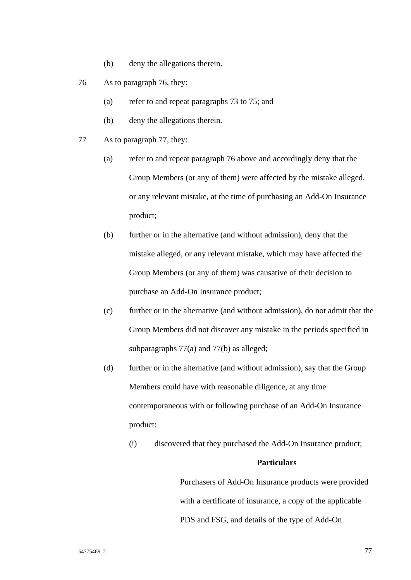- (b) deny the allegations therein.
- 76 As to paragraph 76, they:
	- (a) refer to and repeat paragraphs 73 to 75; and
	- (b) deny the allegations therein.
- 77 As to paragraph 77, they:
	- (a) refer to and repeat paragraph 76 above and accordingly deny that the Group Members (or any of them) were affected by the mistake alleged, or any relevant mistake, at the time of purchasing an Add-On Insurance product;
	- (b) further or in the alternative (and without admission), deny that the mistake alleged, or any relevant mistake, which may have affected the Group Members (or any of them) was causative of their decision to purchase an Add-On Insurance product;
	- (c) further or in the alternative (and without admission), do not admit that the Group Members did not discover any mistake in the periods specified in subparagraphs 77(a) and 77(b) as alleged;
	- (d) further or in the alternative (and without admission), say that the Group Members could have with reasonable diligence, at any time contemporaneous with or following purchase of an Add-On Insurance product:
		- (i) discovered that they purchased the Add-On Insurance product;

#### **Particulars**

Purchasers of Add-On Insurance products were provided with a certificate of insurance, a copy of the applicable PDS and FSG, and details of the type of Add-On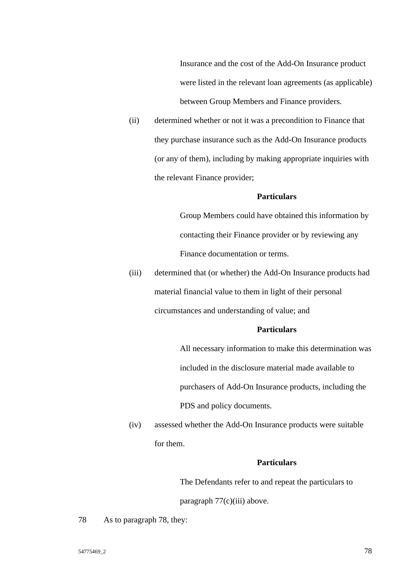Insurance and the cost of the Add-On Insurance product were listed in the relevant loan agreements (as applicable) between Group Members and Finance providers.

(ii) determined whether or not it was a precondition to Finance that they purchase insurance such as the Add-On Insurance products (or any of them), including by making appropriate inquiries with the relevant Finance provider;

#### **Particulars**

Group Members could have obtained this information by contacting their Finance provider or by reviewing any Finance documentation or terms.

(iii) determined that (or whether) the Add-On Insurance products had material financial value to them in light of their personal circumstances and understanding of value; and

### **Particulars**

All necessary information to make this determination was included in the disclosure material made available to purchasers of Add-On Insurance products, including the PDS and policy documents.

(iv) assessed whether the Add-On Insurance products were suitable for them.

#### **Particulars**

The Defendants refer to and repeat the particulars to

paragraph 77(c)(iii) above.

78 As to paragraph 78, they: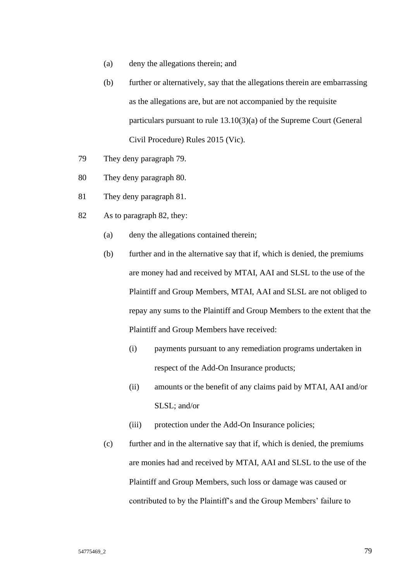- (a) deny the allegations therein; and
- (b) further or alternatively, say that the allegations therein are embarrassing as the allegations are, but are not accompanied by the requisite particulars pursuant to rule 13.10(3)(a) of the Supreme Court (General Civil Procedure) Rules 2015 (Vic).
- 79 They deny paragraph 79.
- 80 They deny paragraph 80.
- 81 They deny paragraph 81.
- 82 As to paragraph 82, they:
	- (a) deny the allegations contained therein;
	- (b) further and in the alternative say that if, which is denied, the premiums are money had and received by MTAI, AAI and SLSL to the use of the Plaintiff and Group Members, MTAI, AAI and SLSL are not obliged to repay any sums to the Plaintiff and Group Members to the extent that the Plaintiff and Group Members have received:
		- (i) payments pursuant to any remediation programs undertaken in respect of the Add-On Insurance products;
		- (ii) amounts or the benefit of any claims paid by MTAI, AAI and/or SLSL; and/or
		- (iii) protection under the Add-On Insurance policies;
	- (c) further and in the alternative say that if, which is denied, the premiums are monies had and received by MTAI, AAI and SLSL to the use of the Plaintiff and Group Members, such loss or damage was caused or contributed to by the Plaintiff's and the Group Members' failure to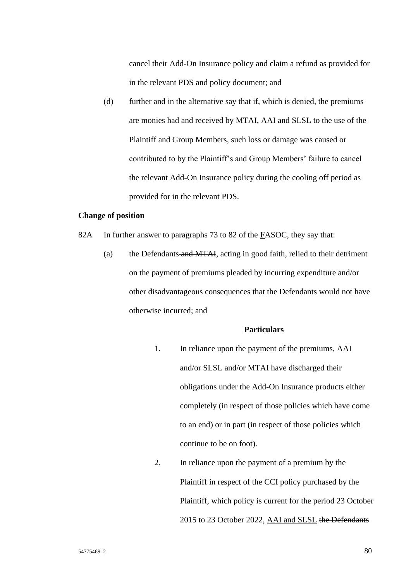cancel their Add-On Insurance policy and claim a refund as provided for in the relevant PDS and policy document; and

(d) further and in the alternative say that if, which is denied, the premiums are monies had and received by MTAI, AAI and SLSL to the use of the Plaintiff and Group Members, such loss or damage was caused or contributed to by the Plaintiff's and Group Members' failure to cancel the relevant Add-On Insurance policy during the cooling off period as provided for in the relevant PDS.

#### **Change of position**

- 82A In further answer to paragraphs 73 to 82 of the FASOC, they say that:
	- (a) the Defendants and MTAI, acting in good faith, relied to their detriment on the payment of premiums pleaded by incurring expenditure and/or other disadvantageous consequences that the Defendants would not have otherwise incurred; and

#### **Particulars**

- 1. In reliance upon the payment of the premiums, AAI and/or SLSL and/or MTAI have discharged their obligations under the Add-On Insurance products either completely (in respect of those policies which have come to an end) or in part (in respect of those policies which continue to be on foot).
- 2. In reliance upon the payment of a premium by the Plaintiff in respect of the CCI policy purchased by the Plaintiff, which policy is current for the period 23 October 2015 to 23 October 2022, AAI and SLSL the Defendants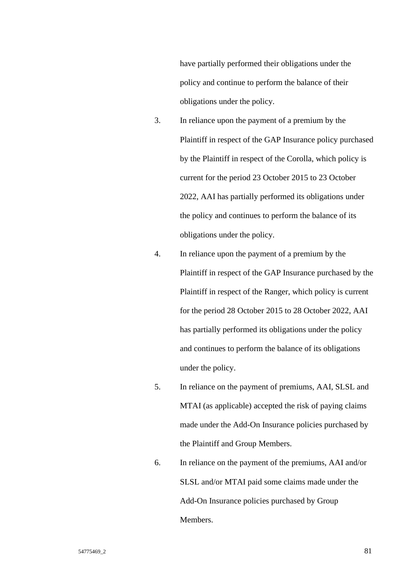have partially performed their obligations under the policy and continue to perform the balance of their obligations under the policy.

- 3. In reliance upon the payment of a premium by the Plaintiff in respect of the GAP Insurance policy purchased by the Plaintiff in respect of the Corolla, which policy is current for the period 23 October 2015 to 23 October 2022, AAI has partially performed its obligations under the policy and continues to perform the balance of its obligations under the policy.
- 4. In reliance upon the payment of a premium by the Plaintiff in respect of the GAP Insurance purchased by the Plaintiff in respect of the Ranger, which policy is current for the period 28 October 2015 to 28 October 2022, AAI has partially performed its obligations under the policy and continues to perform the balance of its obligations under the policy.
- 5. In reliance on the payment of premiums, AAI, SLSL and MTAI (as applicable) accepted the risk of paying claims made under the Add-On Insurance policies purchased by the Plaintiff and Group Members.
- 6. In reliance on the payment of the premiums, AAI and/or SLSL and/or MTAI paid some claims made under the Add-On Insurance policies purchased by Group Members.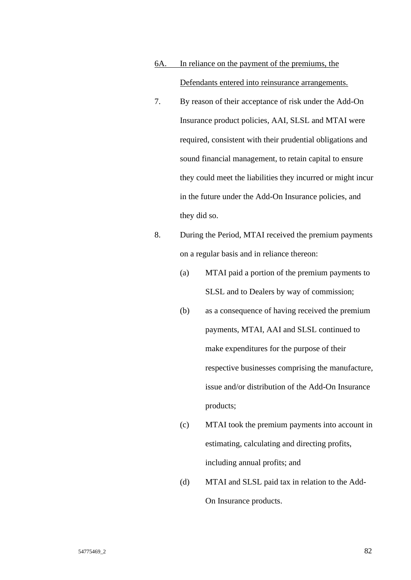# 6A. In reliance on the payment of the premiums, the Defendants entered into reinsurance arrangements.

- 7. By reason of their acceptance of risk under the Add-On Insurance product policies, AAI, SLSL and MTAI were required, consistent with their prudential obligations and sound financial management, to retain capital to ensure they could meet the liabilities they incurred or might incur in the future under the Add-On Insurance policies, and they did so.
- 8. During the Period, MTAI received the premium payments on a regular basis and in reliance thereon:
	- (a) MTAI paid a portion of the premium payments to SLSL and to Dealers by way of commission;
	- (b) as a consequence of having received the premium payments, MTAI, AAI and SLSL continued to make expenditures for the purpose of their respective businesses comprising the manufacture, issue and/or distribution of the Add-On Insurance products;
	- (c) MTAI took the premium payments into account in estimating, calculating and directing profits, including annual profits; and
	- (d) MTAI and SLSL paid tax in relation to the Add-On Insurance products.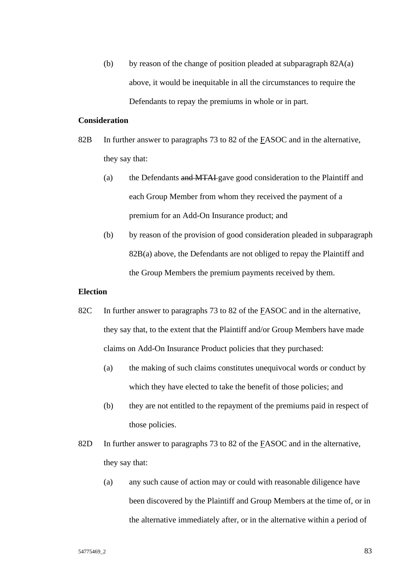(b) by reason of the change of position pleaded at subparagraph  $82A(a)$ above, it would be inequitable in all the circumstances to require the Defendants to repay the premiums in whole or in part.

#### **Consideration**

- 82B In further answer to paragraphs 73 to 82 of the FASOC and in the alternative, they say that:
	- (a) the Defendants and MTAI gave good consideration to the Plaintiff and each Group Member from whom they received the payment of a premium for an Add-On Insurance product; and
	- (b) by reason of the provision of good consideration pleaded in subparagraph 82B(a) above, the Defendants are not obliged to repay the Plaintiff and the Group Members the premium payments received by them.

### **Election**

- 82C In further answer to paragraphs 73 to 82 of the **FASOC** and in the alternative, they say that, to the extent that the Plaintiff and/or Group Members have made claims on Add-On Insurance Product policies that they purchased:
	- (a) the making of such claims constitutes unequivocal words or conduct by which they have elected to take the benefit of those policies; and
	- (b) they are not entitled to the repayment of the premiums paid in respect of those policies.
- 82D In further answer to paragraphs 73 to 82 of the **FASOC** and in the alternative, they say that:
	- (a) any such cause of action may or could with reasonable diligence have been discovered by the Plaintiff and Group Members at the time of, or in the alternative immediately after, or in the alternative within a period of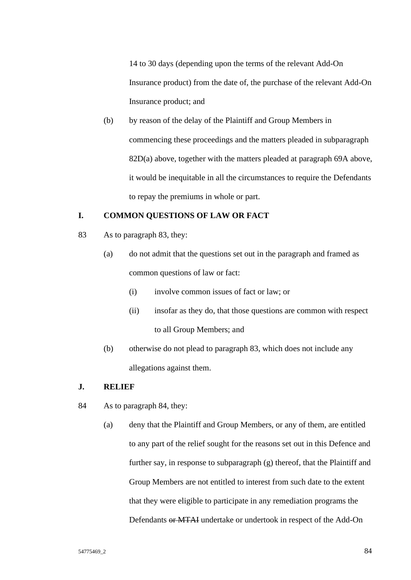14 to 30 days (depending upon the terms of the relevant Add-On Insurance product) from the date of, the purchase of the relevant Add-On Insurance product; and

(b) by reason of the delay of the Plaintiff and Group Members in commencing these proceedings and the matters pleaded in subparagraph 82D(a) above, together with the matters pleaded at paragraph 69A above, it would be inequitable in all the circumstances to require the Defendants to repay the premiums in whole or part.

### **I. COMMON QUESTIONS OF LAW OR FACT**

- 83 As to paragraph 83, they:
	- (a) do not admit that the questions set out in the paragraph and framed as common questions of law or fact:
		- (i) involve common issues of fact or law; or
		- (ii) insofar as they do, that those questions are common with respect to all Group Members; and
	- (b) otherwise do not plead to paragraph 83, which does not include any allegations against them.

### **J. RELIEF**

- 84 As to paragraph 84, they:
	- (a) deny that the Plaintiff and Group Members, or any of them, are entitled to any part of the relief sought for the reasons set out in this Defence and further say, in response to subparagraph (g) thereof, that the Plaintiff and Group Members are not entitled to interest from such date to the extent that they were eligible to participate in any remediation programs the Defendants or MTAI undertake or undertook in respect of the Add-On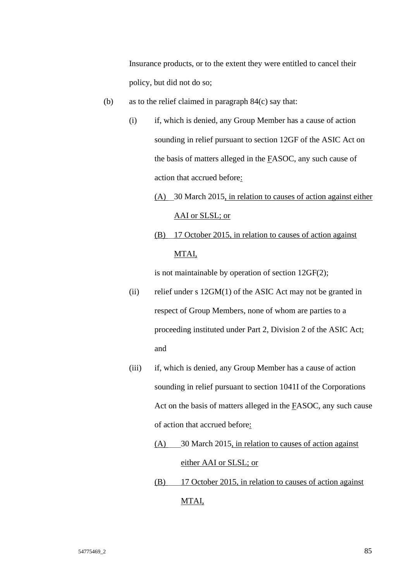Insurance products, or to the extent they were entitled to cancel their policy, but did not do so;

- (b) as to the relief claimed in paragraph 84(c) say that:
	- (i) if, which is denied, any Group Member has a cause of action sounding in relief pursuant to section 12GF of the ASIC Act on the basis of matters alleged in the FASOC, any such cause of action that accrued before:
		- (A) 30 March 2015, in relation to causes of action against either AAI or SLSL; or
		- (B) 17 October 2015, in relation to causes of action against MTAI,

is not maintainable by operation of section 12GF(2);

- (ii) relief under s 12GM(1) of the ASIC Act may not be granted in respect of Group Members, none of whom are parties to a proceeding instituted under Part 2, Division 2 of the ASIC Act; and
- (iii) if, which is denied, any Group Member has a cause of action sounding in relief pursuant to section 1041I of the Corporations Act on the basis of matters alleged in the FASOC, any such cause of action that accrued before:
	- (A) 30 March 2015, in relation to causes of action against either AAI or SLSL; or
	- (B) 17 October 2015, in relation to causes of action against MTAI,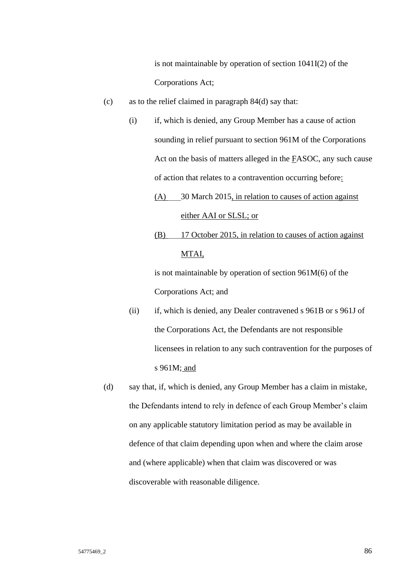is not maintainable by operation of section 1041I(2) of the Corporations Act;

- (c) as to the relief claimed in paragraph 84(d) say that:
	- (i) if, which is denied, any Group Member has a cause of action sounding in relief pursuant to section 961M of the Corporations Act on the basis of matters alleged in the FASOC, any such cause of action that relates to a contravention occurring before:
		- (A) 30 March 2015, in relation to causes of action against either AAI or SLSL; or
		- (B) 17 October 2015, in relation to causes of action against MTAI,

is not maintainable by operation of section 961M(6) of the Corporations Act; and

- (ii) if, which is denied, any Dealer contravened s 961B or s 961J of the Corporations Act, the Defendants are not responsible licensees in relation to any such contravention for the purposes of s 961M; and
- (d) say that, if, which is denied, any Group Member has a claim in mistake, the Defendants intend to rely in defence of each Group Member's claim on any applicable statutory limitation period as may be available in defence of that claim depending upon when and where the claim arose and (where applicable) when that claim was discovered or was discoverable with reasonable diligence.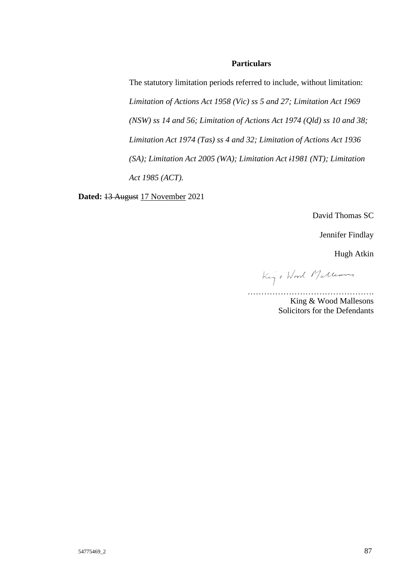#### **Particulars**

The statutory limitation periods referred to include, without limitation: *Limitation of Actions Act 1958 (Vic) ss 5 and 27; Limitation Act 1969 (NSW) ss 14 and 56; Limitation of Actions Act 1974 (Qld) ss 10 and 38; Limitation Act 1974 (Tas) ss 4 and 32; Limitation of Actions Act 1936 (SA); Limitation Act 2005 (WA); Limitation Act i1981 (NT); Limitation Act 1985 (ACT).*

**Dated:** 13 August 17 November 2021

David Thomas SC

Jennifer Findlay

Hugh Atkin

King + Word Mallerons

………………………………………. King & Wood Mallesons

Solicitors for the Defendants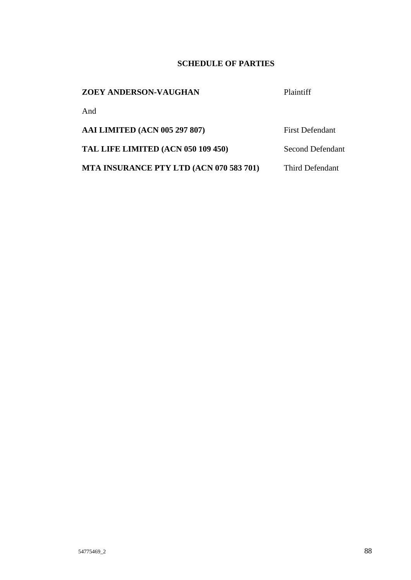## **SCHEDULE OF PARTIES**

### **ZOEY ANDERSON-VAUGHAN** Plaintiff

And

AAI LIMITED (ACN 005 297 807) First Defendant

TAL LIFE LIMITED (ACN 050 109 450) Second Defendant

**MTA INSURANCE PTY LTD (ACN 070 583 701)** Third Defendant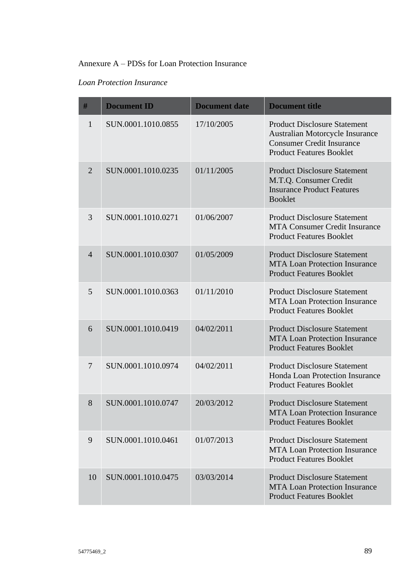# Annexure A – PDSs for Loan Protection Insurance

### *Loan Protection Insurance*

| $\#$           | <b>Document ID</b> | <b>Document date</b> | <b>Document title</b>                                                                                                                                |
|----------------|--------------------|----------------------|------------------------------------------------------------------------------------------------------------------------------------------------------|
| $\mathbf{1}$   | SUN.0001.1010.0855 | 17/10/2005           | <b>Product Disclosure Statement</b><br><b>Australian Motorcycle Insurance</b><br><b>Consumer Credit Insurance</b><br><b>Product Features Booklet</b> |
| $\overline{2}$ | SUN.0001.1010.0235 | 01/11/2005           | <b>Product Disclosure Statement</b><br>M.T.Q. Consumer Credit<br><b>Insurance Product Features</b><br><b>Booklet</b>                                 |
| 3              | SUN.0001.1010.0271 | 01/06/2007           | <b>Product Disclosure Statement</b><br><b>MTA Consumer Credit Insurance</b><br><b>Product Features Booklet</b>                                       |
| $\overline{4}$ | SUN.0001.1010.0307 | 01/05/2009           | <b>Product Disclosure Statement</b><br><b>MTA Loan Protection Insurance</b><br><b>Product Features Booklet</b>                                       |
| 5              | SUN.0001.1010.0363 | 01/11/2010           | <b>Product Disclosure Statement</b><br><b>MTA Loan Protection Insurance</b><br><b>Product Features Booklet</b>                                       |
| 6              | SUN.0001.1010.0419 | 04/02/2011           | <b>Product Disclosure Statement</b><br><b>MTA Loan Protection Insurance</b><br><b>Product Features Booklet</b>                                       |
| $\overline{7}$ | SUN.0001.1010.0974 | 04/02/2011           | <b>Product Disclosure Statement</b><br>Honda Loan Protection Insurance<br><b>Product Features Booklet</b>                                            |
| 8              | SUN.0001.1010.0747 | 20/03/2012           | <b>Product Disclosure Statement</b><br><b>MTA Loan Protection Insurance</b><br><b>Product Features Booklet</b>                                       |
| 9              | SUN.0001.1010.0461 | 01/07/2013           | <b>Product Disclosure Statement</b><br><b>MTA Loan Protection Insurance</b><br><b>Product Features Booklet</b>                                       |
| 10             | SUN.0001.1010.0475 | 03/03/2014           | <b>Product Disclosure Statement</b><br><b>MTA Loan Protection Insurance</b><br><b>Product Features Booklet</b>                                       |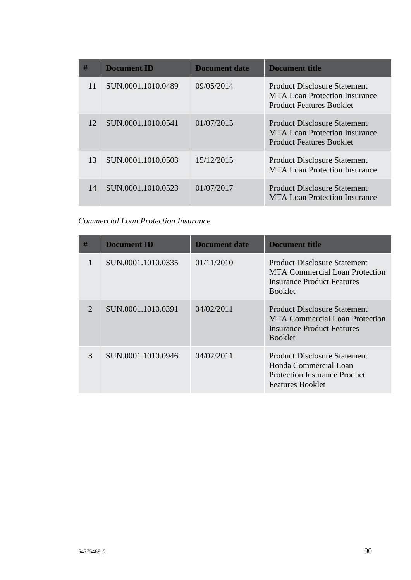| #  | <b>Document ID</b> | <b>Document date</b> | <b>Document title</b>                                                                                          |
|----|--------------------|----------------------|----------------------------------------------------------------------------------------------------------------|
| 11 | SUN.0001.1010.0489 | 09/05/2014           | <b>Product Disclosure Statement</b><br><b>MTA Loan Protection Insurance</b><br><b>Product Features Booklet</b> |
| 12 | SUN.0001.1010.0541 | 01/07/2015           | <b>Product Disclosure Statement</b><br>MTA Loan Protection Insurance<br><b>Product Features Booklet</b>        |
| 13 | SUN.0001.1010.0503 | 15/12/2015           | <b>Product Disclosure Statement</b><br><b>MTA Loan Protection Insurance</b>                                    |
| 14 | SUN.0001.1010.0523 | 01/07/2017           | <b>Product Disclosure Statement</b><br><b>MTA Loan Protection Insurance</b>                                    |

# *Commercial Loan Protection Insurance*

| #                     | <b>Document ID</b> | Document date | Document title                                                                                                                 |
|-----------------------|--------------------|---------------|--------------------------------------------------------------------------------------------------------------------------------|
|                       | SUN.0001.1010.0335 | 01/11/2010    | Product Disclosure Statement<br>MTA Commercial Loan Protection<br>Insurance Product Features<br><b>Booklet</b>                 |
| $\mathcal{D}_{\cdot}$ | SUN.0001.1010.0391 | 04/02/2011    | <b>Product Disclosure Statement</b><br>MTA Commercial Loan Protection<br>Insurance Product Features<br><b>Booklet</b>          |
| 3                     | SUN.0001.1010.0946 | 04/02/2011    | <b>Product Disclosure Statement</b><br>Honda Commercial Loan<br><b>Protection Insurance Product</b><br><b>Features Booklet</b> |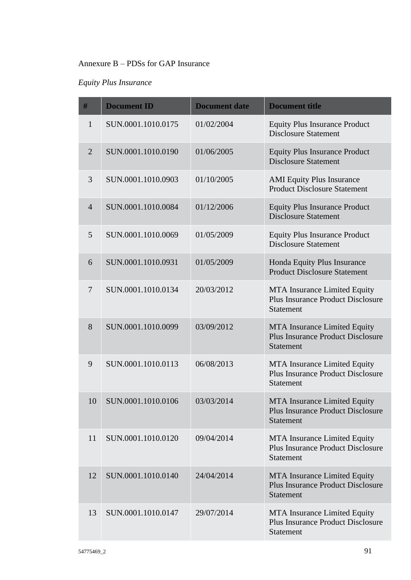### Annexure B – PDSs for GAP Insurance

# *Equity Plus Insurance*

| #              | <b>Document ID</b> | <b>Document date</b> | <b>Document title</b>                                                                               |
|----------------|--------------------|----------------------|-----------------------------------------------------------------------------------------------------|
| 1              | SUN.0001.1010.0175 | 01/02/2004           | <b>Equity Plus Insurance Product</b><br><b>Disclosure Statement</b>                                 |
| $\overline{2}$ | SUN.0001.1010.0190 | 01/06/2005           | <b>Equity Plus Insurance Product</b><br><b>Disclosure Statement</b>                                 |
| 3              | SUN.0001.1010.0903 | 01/10/2005           | <b>AMI</b> Equity Plus Insurance<br><b>Product Disclosure Statement</b>                             |
| $\overline{4}$ | SUN.0001.1010.0084 | 01/12/2006           | <b>Equity Plus Insurance Product</b><br><b>Disclosure Statement</b>                                 |
| 5              | SUN.0001.1010.0069 | 01/05/2009           | <b>Equity Plus Insurance Product</b><br><b>Disclosure Statement</b>                                 |
| 6              | SUN.0001.1010.0931 | 01/05/2009           | Honda Equity Plus Insurance<br><b>Product Disclosure Statement</b>                                  |
| $\overline{7}$ | SUN.0001.1010.0134 | 20/03/2012           | <b>MTA</b> Insurance Limited Equity<br><b>Plus Insurance Product Disclosure</b><br><b>Statement</b> |
| 8              | SUN.0001.1010.0099 | 03/09/2012           | MTA Insurance Limited Equity<br><b>Plus Insurance Product Disclosure</b><br><b>Statement</b>        |
| 9              | SUN.0001.1010.0113 | 06/08/2013           | <b>MTA</b> Insurance Limited Equity<br><b>Plus Insurance Product Disclosure</b><br><b>Statement</b> |
| 10             | SUN.0001.1010.0106 | 03/03/2014           | <b>MTA Insurance Limited Equity</b><br><b>Plus Insurance Product Disclosure</b><br>Statement        |
| 11             | SUN.0001.1010.0120 | 09/04/2014           | <b>MTA</b> Insurance Limited Equity<br><b>Plus Insurance Product Disclosure</b><br><b>Statement</b> |
| 12             | SUN.0001.1010.0140 | 24/04/2014           | <b>MTA Insurance Limited Equity</b><br><b>Plus Insurance Product Disclosure</b><br><b>Statement</b> |
| 13             | SUN.0001.1010.0147 | 29/07/2014           | <b>MTA Insurance Limited Equity</b><br><b>Plus Insurance Product Disclosure</b><br><b>Statement</b> |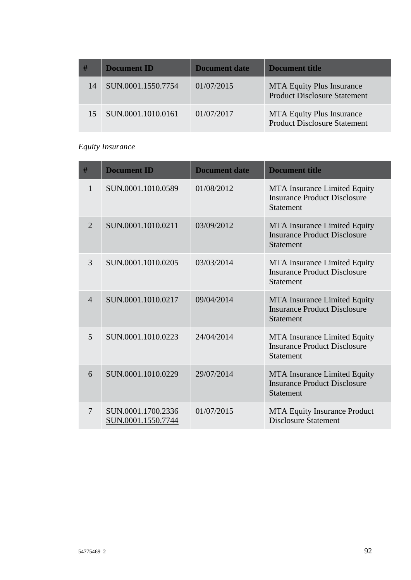| #  | <b>Document ID</b> | Document date | Document title                                                          |
|----|--------------------|---------------|-------------------------------------------------------------------------|
| 14 | SUN.0001.1550.7754 | 01/07/2015    | <b>MTA Equity Plus Insurance</b><br><b>Product Disclosure Statement</b> |
|    | SUN.0001.1010.0161 | 01/07/2017    | <b>MTA Equity Plus Insurance</b><br><b>Product Disclosure Statement</b> |

# *Equity Insurance*

| #              | <b>Document ID</b>                       | <b>Document date</b> | <b>Document title</b>                                                                          |
|----------------|------------------------------------------|----------------------|------------------------------------------------------------------------------------------------|
| 1              | SUN.0001.1010.0589                       | 01/08/2012           | MTA Insurance Limited Equity<br><b>Insurance Product Disclosure</b><br><b>Statement</b>        |
| $\overline{2}$ | SUN.0001.1010.0211                       | 03/09/2012           | <b>MTA</b> Insurance Limited Equity<br><b>Insurance Product Disclosure</b><br><b>Statement</b> |
| 3              | SUN.0001.1010.0205                       | 03/03/2014           | MTA Insurance Limited Equity<br><b>Insurance Product Disclosure</b><br><b>Statement</b>        |
| $\overline{4}$ | SUN.0001.1010.0217                       | 09/04/2014           | MTA Insurance Limited Equity<br><b>Insurance Product Disclosure</b><br><b>Statement</b>        |
| 5              | SUN.0001.1010.0223                       | 24/04/2014           | MTA Insurance Limited Equity<br><b>Insurance Product Disclosure</b><br><b>Statement</b>        |
| 6              | SUN.0001.1010.0229                       | 29/07/2014           | <b>MTA</b> Insurance Limited Equity<br><b>Insurance Product Disclosure</b><br><b>Statement</b> |
| 7              | SUN.0001.1700.2336<br>SUN.0001.1550.7744 | 01/07/2015           | <b>MTA Equity Insurance Product</b><br><b>Disclosure Statement</b>                             |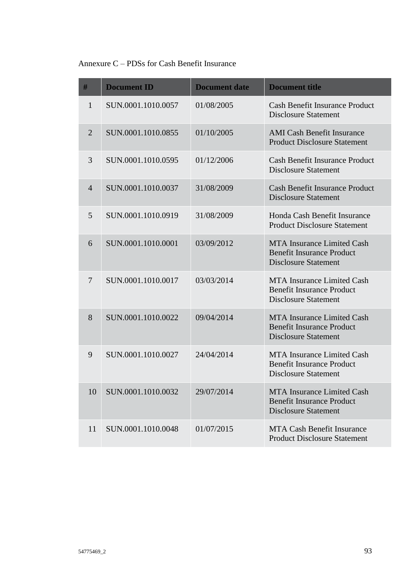# Annexure C – PDSs for Cash Benefit Insurance

| #              | <b>Document ID</b> | <b>Document date</b> | <b>Document title</b>                                                                                |
|----------------|--------------------|----------------------|------------------------------------------------------------------------------------------------------|
| 1              | SUN.0001.1010.0057 | 01/08/2005           | <b>Cash Benefit Insurance Product</b><br><b>Disclosure Statement</b>                                 |
| $\overline{2}$ | SUN.0001.1010.0855 | 01/10/2005           | <b>AMI Cash Benefit Insurance</b><br><b>Product Disclosure Statement</b>                             |
| 3              | SUN.0001.1010.0595 | 01/12/2006           | <b>Cash Benefit Insurance Product</b><br><b>Disclosure Statement</b>                                 |
| $\overline{4}$ | SUN.0001.1010.0037 | 31/08/2009           | <b>Cash Benefit Insurance Product</b><br><b>Disclosure Statement</b>                                 |
| 5              | SUN.0001.1010.0919 | 31/08/2009           | Honda Cash Benefit Insurance<br><b>Product Disclosure Statement</b>                                  |
| 6              | SUN.0001.1010.0001 | 03/09/2012           | <b>MTA Insurance Limited Cash</b><br><b>Benefit Insurance Product</b><br><b>Disclosure Statement</b> |
| 7              | SUN.0001.1010.0017 | 03/03/2014           | <b>MTA Insurance Limited Cash</b><br><b>Benefit Insurance Product</b><br><b>Disclosure Statement</b> |
| 8              | SUN.0001.1010.0022 | 09/04/2014           | <b>MTA</b> Insurance Limited Cash<br><b>Benefit Insurance Product</b><br><b>Disclosure Statement</b> |
| 9              | SUN.0001.1010.0027 | 24/04/2014           | <b>MTA</b> Insurance Limited Cash<br><b>Benefit Insurance Product</b><br><b>Disclosure Statement</b> |
| 10             | SUN.0001.1010.0032 | 29/07/2014           | <b>MTA Insurance Limited Cash</b><br><b>Benefit Insurance Product</b><br><b>Disclosure Statement</b> |
| 11             | SUN.0001.1010.0048 | 01/07/2015           | <b>MTA Cash Benefit Insurance</b><br><b>Product Disclosure Statement</b>                             |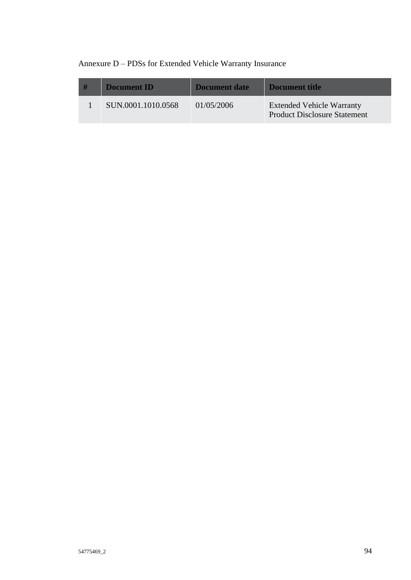# Annexure D – PDSs for Extended Vehicle Warranty Insurance

| -# | <b>Document ID</b> | Document date | Document title                                                          |
|----|--------------------|---------------|-------------------------------------------------------------------------|
|    | SUN.0001.1010.0568 | 01/05/2006    | <b>Extended Vehicle Warranty</b><br><b>Product Disclosure Statement</b> |